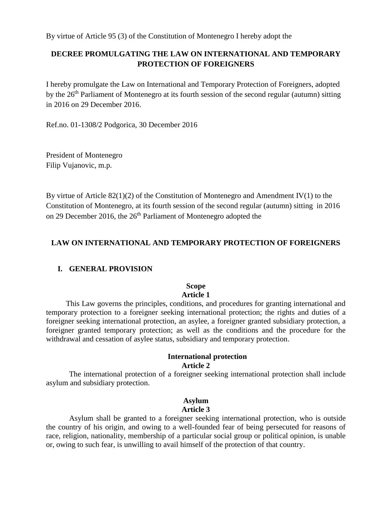## **DECREE PROMULGATING THE LAW ON INTERNATIONAL AND TEMPORARY PROTECTION OF FOREIGNERS**

I hereby promulgate the Law on International and Temporary Protection of Foreigners, adopted by the 26th Parliament of Montenegro at its fourth session of the second regular (autumn) sitting in 2016 on 29 December 2016.

Ref.no. 01-1308/2 Podgorica, 30 December 2016

President of Montenegro Filip Vujanovic, m.p.

By virtue of Article  $82(1)(2)$  of the Constitution of Montenegro and Amendment IV(1) to the Constitution of Montenegro, at its fourth session of the second regular (autumn) sitting in 2016 on 29 December 2016, the 26<sup>th</sup> Parliament of Montenegro adopted the

## **LAW ON INTERNATIONAL AND TEMPORARY PROTECTION OF FOREIGNERS**

## **I. GENERAL PROVISION**

## **Scope**

## **Article 1**

 This Law governs the principles, conditions, and procedures for granting international and temporary protection to a foreigner seeking international protection; the rights and duties of a foreigner seeking international protection, an asylee, a foreigner granted subsidiary protection, a foreigner granted temporary protection; as well as the conditions and the procedure for the withdrawal and cessation of asylee status, subsidiary and temporary protection.

#### **International protection Article 2**

The international protection of a foreigner seeking international protection shall include asylum and subsidiary protection.

#### **Asylum Article 3**

Asylum shall be granted to a foreigner seeking international protection, who is outside the country of his origin, and owing to a well-founded fear of being persecuted for reasons of race, religion, nationality, membership of a particular social group or political opinion, is unable or, owing to such fear, is unwilling to avail himself of the protection of that country.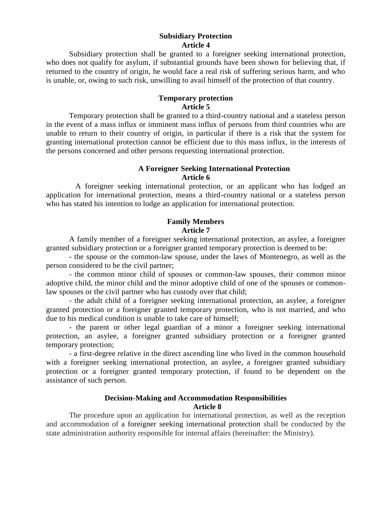### **Subsidiary Protection Article 4**

Subsidiary protection shall be granted to a foreigner seeking international protection, who does not qualify for asylum, if substantial grounds have been shown for believing that, if returned to the country of origin, he would face a real risk of suffering serious harm, and who is unable, or, owing to such risk, unwilling to avail himself of the protection of that country.

## **Temporary protection Article 5**

Temporary protection shall be granted to a third-country national and a stateless person in the event of a mass influx or imminent mass influx of persons from third countries who are unable to return to their country of origin, in particular if there is a risk that the system for granting international protection cannot be efficient due to this mass influx, in the interests of the persons concerned and other persons requesting international protection.

### **A Foreigner Seeking International Protection Article 6**

A foreigner seeking international protection, or an applicant who has lodged an application for international protection, means a third-country national or a stateless person who has stated his intention to lodge an application for international protection.

## **Family Members Article 7**

A family member of a foreigner seeking international protection, an asylee, a foreigner granted subsidiary protection or a foreigner granted temporary protection is deemed to be:

- the spouse or the common-law spouse, under the laws of Montenegro, as well as the person considered to be the civil partner;

- the common minor child of spouses or common-law spouses, their common minor adoptive child, the minor child and the minor adoptive child of one of the spouses or commonlaw spouses or the civil partner who has custody over that child;

- the adult child of a foreigner seeking international protection, an asylee, a foreigner granted protection or a foreigner granted temporary protection, who is not married, and who due to his medical condition is unable to take care of himself;

- the parent or other legal guardian of a minor a foreigner seeking international protection, an asylee, a foreigner granted subsidiary protection or a foreigner granted temporary protection;

- a first-degree relative in the direct ascending line who lived in the common household with a foreigner seeking international protection, an asylee, a foreigner granted subsidiary protection or a foreigner granted temporary protection, if found to be dependent on the assistance of such person.

## **Decision-Making and Accommodation Responsibilities Article 8**

The procedure upon an application for international protection, as well as the reception and accommodation of a foreigner seeking international protection shall be conducted by the state administration authority responsible for internal affairs (hereinafter: the Ministry).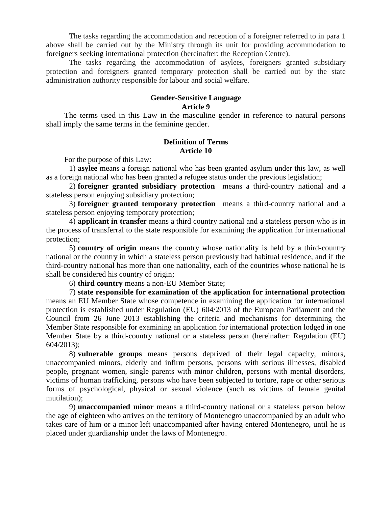The tasks regarding the accommodation and reception of a foreigner referred to in para 1 above shall be carried out by the Ministry through its unit for providing accommodation to foreigners seeking international protection (hereinafter: the Reception Centre).

The tasks regarding the accommodation of asylees, foreigners granted subsidiary protection and foreigners granted temporary protection shall be carried out by the state administration authority responsible for labour and social welfare.

## **Gender-Sensitive Language Article 9**

The terms used in this Law in the masculine gender in reference to natural persons shall imply the same terms in the feminine gender.

### **Definition of Terms Article 10**

For the purpose of this Law:

1) **asylee** means a foreign national who has been granted asylum under this law, as well as a foreign national who has been granted a refugee status under the previous legislation;

2) **foreigner granted subsidiary protection** means a third-country national and a stateless person enjoying subsidiary protection;

3) **foreigner granted temporary protection** means a third-country national and a stateless person enjoying temporary protection;

4) **applicant in transfer** means a third country national and a stateless person who is in the process of transferral to the state responsible for examining the application for international protection;

5) **country of origin** means the country whose nationality is held by a third-country national or the country in which a stateless person previously had habitual residence, and if the third-country national has more than one nationality, each of the countries whose national he is shall be considered his country of origin;

## 6) **third country** means a non-EU Member State;

7) **state responsible for examination of the application for international protection**  means an EU Member State whose competence in examining the application for international protection is established under Regulation (EU) 604/2013 of the European Parliament and the Council from 26 June 2013 establishing the criteria and mechanisms for determining the Member State responsible for examining an application for international protection lodged in one Member State by a third-country national or a stateless person (hereinafter: Regulation (EU) 604/2013);

8) **vulnerable groups** means persons deprived of their legal capacity, minors, unaccompanied minors, elderly and infirm persons, persons with serious illnesses, disabled people, pregnant women, single parents with minor children, persons with mental disorders, victims of human trafficking, persons who have been subjected to torture, rape or other serious forms of psychological, physical or sexual violence (such as victims of female genital mutilation);

9) **unaccompanied minor** means a third-country national or a stateless person below the age of eighteen who arrives on the territory of Montenegro unaccompanied by an adult who takes care of him or a minor left unaccompanied after having entered Montenegro, until he is placed under guardianship under the laws of Montenegro.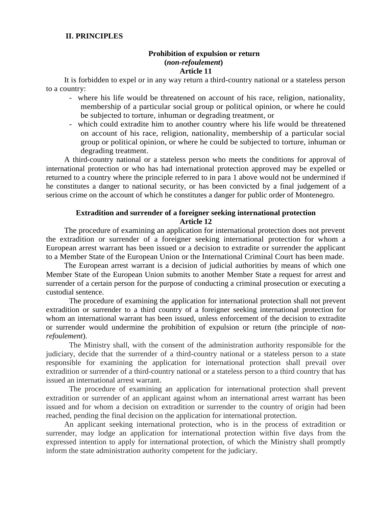### **II. PRINCIPLES**

### **Prohibition of expulsion or return (***non-refoulement***) Article 11**

It is forbidden to expel or in any way return a third-country national or a stateless person to a country:

- where his life would be threatened on account of his race, religion, nationality, membership of a particular social group or political opinion, or where he could be subjected to torture, inhuman or degrading treatment, or
- which could extradite him to another country where his life would be threatened on account of his race, religion, nationality, membership of a particular social group or political opinion, or where he could be subjected to torture, inhuman or degrading treatment.

A third-country national or a stateless person who meets the conditions for approval of international protection or who has had international protection approved may be expelled or returned to a country where the principle referred to in para 1 above would not be undermined if he constitutes a danger to national security, or has been convicted by a final judgement of a serious crime on the account of which he constitutes a danger for public order of Montenegro.

## **Extradition and surrender of a foreigner seeking international protection Article 12**

The procedure of examining an application for international protection does not prevent the extradition or surrender of a foreigner seeking international protection for whom a European arrest warrant has been issued or a decision to extradite or surrender the applicant to a Member State of the European Union or the International Criminal Court has been made.

The European arrest warrant is a decision of judicial authorities by means of which one Member State of the European Union submits to another Member State a request for arrest and surrender of a certain person for the purpose of conducting a criminal prosecution or executing a custodial sentence.

The procedure of examining the application for international protection shall not prevent extradition or surrender to a third country of a foreigner seeking international protection for whom an international warrant has been issued, unless enforcement of the decision to extradite or surrender would undermine the prohibition of expulsion or return (the principle of *nonrefoulement*).

The Ministry shall, with the consent of the administration authority responsible for the judiciary, decide that the surrender of a third-country national or a stateless person to a state responsible for examining the application for international protection shall prevail over extradition or surrender of a third-country national or a stateless person to a third country that has issued an international arrest warrant.

The procedure of examining an application for international protection shall prevent extradition or surrender of an applicant against whom an international arrest warrant has been issued and for whom a decision on extradition or surrender to the country of origin had been reached, pending the final decision on the application for international protection.

An applicant seeking international protection, who is in the process of extradition or surrender, may lodge an application for international protection within five days from the expressed intention to apply for international protection, of which the Ministry shall promptly inform the state administration authority competent for the judiciary.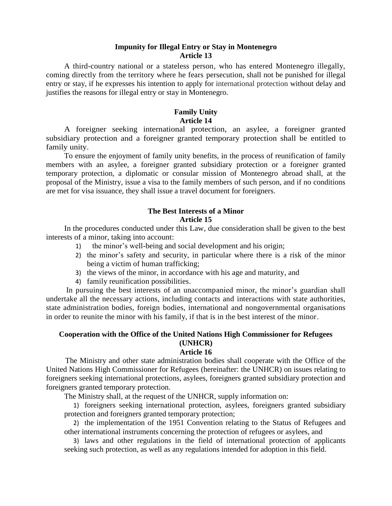#### **Impunity for Illegal Entry or Stay in Montenegro Article 13**

 A third-country national or a stateless person, who has entered Montenegro illegally, coming directly from the territory where he fears persecution, shall not be punished for illegal entry or stay, if he expresses his intention to apply for international protection without delay and justifies the reasons for illegal entry or stay in Montenegro.

## **Family Unity Article 14**

A foreigner seeking international protection, an asylee, a foreigner granted subsidiary protection and a foreigner granted temporary protection shall be entitled to family unity.

To ensure the enjoyment of family unity benefits, in the process of reunification of family members with an asylee, a foreigner granted subsidiary protection or a foreigner granted temporary protection, a diplomatic or consular mission of Montenegro abroad shall, at the proposal of the Ministry, issue a visa to the family members of such person, and if no conditions are met for visa issuance, they shall issue a travel document for foreigners.

#### **The Best Interests of a Minor Article 15**

In the procedures conducted under this Law, due consideration shall be given to the best interests of a minor, taking into account:

- 1) the minor's well-being and social development and his origin;
- 2) the minor's safety and security, in particular where there is a risk of the minor being a victim of human trafficking;
- 3) the views of the minor, in accordance with his age and maturity, and
- 4) family reunification possibilities.

In pursuing the best interests of an unaccompanied minor, the minor's guardian shall undertake all the necessary actions, including contacts and interactions with state authorities, state administration bodies, foreign bodies, international and nongovernmental organisations in order to reunite the minor with his family, if that is in the best interest of the minor.

# **Cooperation with the Office of the United Nations High Commissioner for Refugees (UNHCR)**

## **Article 16**

The Ministry and other state administration bodies shall cooperate with the Office of the United Nations High Commissioner for Refugees (hereinafter: the UNHCR) on issues relating to foreigners seeking international protections, asylees, foreigners granted subsidiary protection and foreigners granted temporary protection.

The Ministry shall, at the request of the UNHCR, supply information on:

1) foreigners seeking international protection, asylees, foreigners granted subsidiary protection and foreigners granted temporary protection;

2) the implementation of the 1951 Convention relating to the Status of Refugees and other international instruments concerning the protection of refugees or asylees, and

3) laws and other regulations in the field of international protection of applicants seeking such protection, as well as any regulations intended for adoption in this field.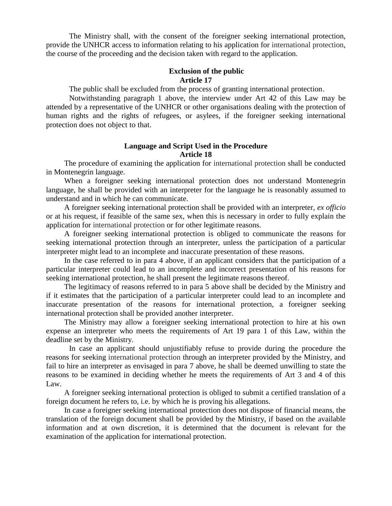The Ministry shall, with the consent of the foreigner seeking international protection, provide the UNHCR access to information relating to his application for international protection, the course of the proceeding and the decision taken with regard to the application.

### **Exclusion of the public Article 17**

The public shall be excluded from the process of granting international protection.

Notwithstanding paragraph 1 above, the interview under Art 42 of this Law may be attended by a representative of the UNHCR or other organisations dealing with the protection of human rights and the rights of refugees, or asylees, if the foreigner seeking international protection does not object to that.

### **Language and Script Used in the Procedure Article 18**

The procedure of examining the application for international protection shall be conducted in Montenegrin language.

When a foreigner seeking international protection does not understand Montenegrin language, he shall be provided with an interpreter for the language he is reasonably assumed to understand and in which he can communicate.

A foreigner seeking international protection shall be provided with an interpreter, *ex officio* or at his request, if feasible of the same sex, when this is necessary in order to fully explain the application for international protection or for other legitimate reasons.

A foreigner seeking international protection is obliged to communicate the reasons for seeking international protection through an interpreter, unless the participation of a particular interpreter might lead to an incomplete and inaccurate presentation of these reasons.

In the case referred to in para 4 above, if an applicant considers that the participation of a particular interpreter could lead to an incomplete and incorrect presentation of his reasons for seeking international protection, he shall present the legitimate reasons thereof.

The legitimacy of reasons referred to in para 5 above shall be decided by the Ministry and if it estimates that the participation of a particular interpreter could lead to an incomplete and inaccurate presentation of the reasons for international protection, a foreigner seeking international protection shall be provided another interpreter.

The Ministry may allow a foreigner seeking international protection to hire at his own expense an interpreter who meets the requirements of Art 19 para 1 of this Law, within the deadline set by the Ministry.

In case an applicant should unjustifiably refuse to provide during the procedure the reasons for seeking international protection through an interpreter provided by the Ministry, and fail to hire an interpreter as envisaged in para 7 above, he shall be deemed unwilling to state the reasons to be examined in deciding whether he meets the requirements of Art 3 and 4 of this Law.

A foreigner seeking international protection is obliged to submit a certified translation of a foreign document he refers to, i.e. by which he is proving his allegations.

In case a foreigner seeking international protection does not dispose of financial means, the translation of the foreign document shall be provided by the Ministry, if based on the available information and at own discretion, it is determined that the document is relevant for the examination of the application for international protection.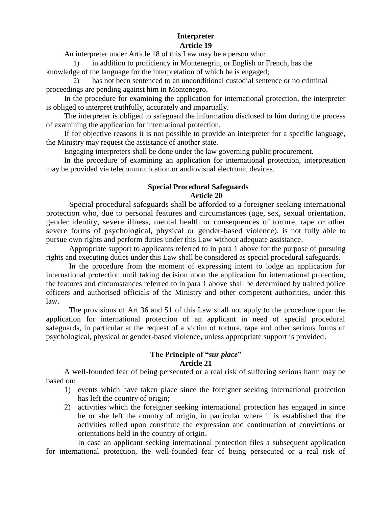## **Interpreter Article 19**

An interpreter under Article 18 of this Law may be a person who:

in addition to proficiency in Montenegrin, or English or French, has the knowledge of the language for the interpretation of which he is engaged;

2) has not been sentenced to an unconditional custodial sentence or no criminal proceedings are pending against him in Montenegro.

In the procedure for examining the application for international protection, the interpreter is obliged to interpret truthfully, accurately and impartially.

The interpreter is obliged to safeguard the information disclosed to him during the process of examining the application for international protection.

If for objective reasons it is not possible to provide an interpreter for a specific language, the Ministry may request the assistance of another state.

Engaging interpreters shall be done under the law governing public procurement.

In the procedure of examining an application for international protection, interpretation may be provided via telecommunication or audiovisual electronic devices.

#### **Special Procedural Safeguards Article 20**

Special procedural safeguards shall be afforded to a foreigner seeking international protection who, due to personal features and circumstances (age, sex, sexual orientation, gender identity, severe illness, mental health or consequences of torture, rape or other severe forms of psychological, physical or gender-based violence), is not fully able to pursue own rights and perform duties under this Law without adequate assistance.

Appropriate support to applicants referred to in para 1 above for the purpose of pursuing rights and executing duties under this Law shall be considered as special procedural safeguards.

In the procedure from the moment of expressing intent to lodge an application for international protection until taking decision upon the application for international protection, the features and circumstances referred to in para 1 above shall be determined by trained police officers and authorised officials of the Ministry and other competent authorities, under this law.

The provisions of Art 36 and 51 of this Law shall not apply to the procedure upon the application for international protection of an applicant in need of special procedural safeguards, in particular at the request of a victim of torture, rape and other serious forms of psychological, physical or gender-based violence, unless appropriate support is provided.

## **The Principle of "***sur place***" Article 21**

A well-founded fear of being persecuted or a real risk of suffering serious harm may be based on:

- 1) events which have taken place since the foreigner seeking international protection has left the country of origin;
- 2) activities which the foreigner seeking international protection has engaged in since he or she left the country of origin, in particular where it is established that the activities relied upon constitute the expression and continuation of convictions or orientations held in the country of origin.

In case an applicant seeking international protection files a subsequent application for international protection, the well-founded fear of being persecuted or a real risk of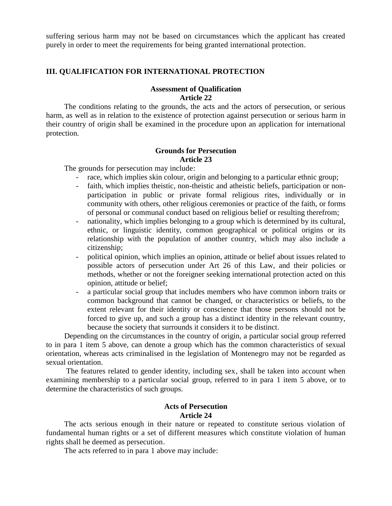suffering serious harm may not be based on circumstances which the applicant has created purely in order to meet the requirements for being granted international protection.

## **III. QUALIFICATION FOR INTERNATIONAL PROTECTION**

### **Assessment of Qualification Article 22**

The conditions relating to the grounds, the acts and the actors of persecution, or serious harm, as well as in relation to the existence of protection against persecution or serious harm in their country of origin shall be examined in the procedure upon an application for international protection.

## **Grounds for Persecution Article 23**

The grounds for persecution may include:

- race, which implies skin colour, origin and belonging to a particular ethnic group;
- faith, which implies theistic, non-theistic and atheistic beliefs, participation or nonparticipation in public or private formal religious rites, individually or in community with others, other religious ceremonies or practice of the faith, or forms of personal or communal conduct based on religious belief or resulting therefrom;
- nationality, which implies belonging to a group which is determined by its cultural, ethnic, or linguistic identity, common geographical or political origins or its relationship with the population of another country, which may also include a citizenship;
- political opinion, which implies an opinion, attitude or belief about issues related to possible actors of persecution under Art 26 of this Law, and their policies or methods, whether or not the foreigner seeking international protection acted on this opinion, attitude or belief;
- a particular social group that includes members who have common inborn traits or common background that cannot be changed, or characteristics or beliefs, to the extent relevant for their identity or conscience that those persons should not be forced to give up, and such a group has a distinct identity in the relevant country, because the society that surrounds it considers it to be distinct.

Depending on the circumstances in the country of origin, a particular social group referred to in para 1 item 5 above, can denote a group which has the common characteristics of sexual orientation, whereas acts criminalised in the legislation of Montenegro may not be regarded as sexual orientation.

The features related to gender identity, including sex, shall be taken into account when examining membership to a particular social group, referred to in para 1 item 5 above, or to determine the characteristics of such groups.

## **Acts of Persecution Article 24**

The acts serious enough in their nature or repeated to constitute serious violation of fundamental human rights or a set of different measures which constitute violation of human rights shall be deemed as persecution.

The acts referred to in para 1 above may include: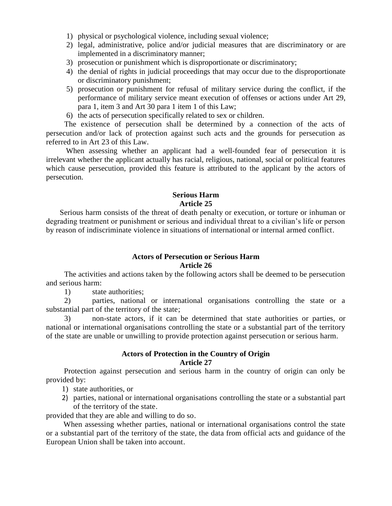- 1) physical or psychological violence, including sexual violence;
- 2) legal, administrative, police and/or judicial measures that are discriminatory or are implemented in a discriminatory manner;
- 3) prosecution or punishment which is disproportionate or discriminatory;
- 4) the denial of rights in judicial proceedings that may occur due to the disproportionate or discriminatory punishment;
- 5) prosecution or punishment for refusal of military service during the conflict, if the performance of military service meant execution of offenses or actions under Art 29, para 1, item 3 and Art 30 para 1 item 1 of this Law;
- 6) the acts of persecution specifically related to sex or children.

The existence of persecution shall be determined by a connection of the acts of persecution and/or lack of protection against such acts and the grounds for persecution as referred to in Art 23 of this Law.

 When assessing whether an applicant had a well-founded fear of persecution it is irrelevant whether the applicant actually has racial, religious, national, social or political features which cause persecution, provided this feature is attributed to the applicant by the actors of persecution.

## **Serious Harm Article 25**

Serious harm consists of the threat of death penalty or execution, or torture or inhuman or degrading treatment or punishment or serious and individual threat to a civilian's life or person by reason of indiscriminate violence in situations of international or internal armed conflict.

## **Actors of Persecution or Serious Harm Article 26**

The activities and actions taken by the following actors shall be deemed to be persecution and serious harm:

1) state authorities;

2) parties, national or international organisations controlling the state or a substantial part of the territory of the state;

3) non-state actors, if it can be determined that state authorities or parties, or national or international organisations controlling the state or a substantial part of the territory of the state are unable or unwilling to provide protection against persecution or serious harm.

## **Actors of Protection in the Country of Origin Article 27**

 Protection against persecution and serious harm in the country of origin can only be provided by:

- 1) state authorities, or
- 2) parties, national or international organisations controlling the state or a substantial part of the territory of the state.

provided that they are able and willing to do so.

 When assessing whether parties, national or international organisations control the state or a substantial part of the territory of the state, the data from official acts and guidance of the European Union shall be taken into account.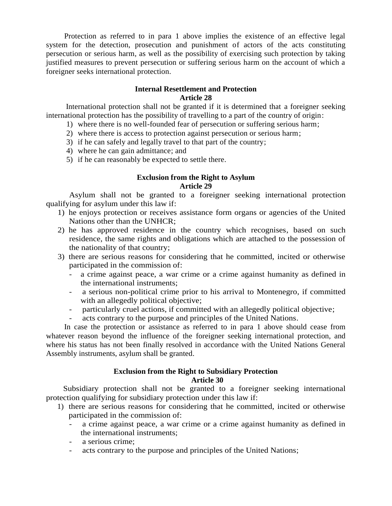Protection as referred to in para 1 above implies the existence of an effective legal system for the detection, prosecution and punishment of actors of the acts constituting persecution or serious harm, as well as the possibility of exercising such protection by taking justified measures to prevent persecution or suffering serious harm on the account of which a foreigner seeks international protection.

## **Internal Resettlement and Protection Article 28**

 International protection shall not be granted if it is determined that a foreigner seeking international protection has the possibility of travelling to a part of the country of origin:

- 1) where there is no well-founded fear of persecution or suffering serious harm;
- 2) where there is access to protection against persecution or serious harm;
- 3) if he can safely and legally travel to that part of the country;
- 4) where he can gain admittance; and
- 5) if he can reasonably be expected to settle there.

## **Exclusion from the Right to Asylum Article 29**

 Asylum shall not be granted to a foreigner seeking international protection qualifying for asylum under this law if:

- 1) he enjoys protection or receives assistance form organs or agencies of the United Nations other than the UNHCR;
- 2) he has approved residence in the country which recognises, based on such residence, the same rights and obligations which are attached to the possession of the nationality of that country;
- 3) there are serious reasons for considering that he committed, incited or otherwise participated in the commission of:
	- a crime against peace, a war crime or a crime against humanity as defined in the international instruments;
	- a serious non-political crime prior to his arrival to Montenegro, if committed with an allegedly political objective;
	- particularly cruel actions, if committed with an allegedly political objective;
	- acts contrary to the purpose and principles of the United Nations.

In case the protection or assistance as referred to in para 1 above should cease from whatever reason beyond the influence of the foreigner seeking international protection, and where his status has not been finally resolved in accordance with the United Nations General Assembly instruments, asylum shall be granted.

### **Exclusion from the Right to Subsidiary Protection Article 30**

 Subsidiary protection shall not be granted to a foreigner seeking international protection qualifying for subsidiary protection under this law if:

- 1) there are serious reasons for considering that he committed, incited or otherwise participated in the commission of:
	- a crime against peace, a war crime or a crime against humanity as defined in the international instruments;
	- a serious crime;
	- acts contrary to the purpose and principles of the United Nations;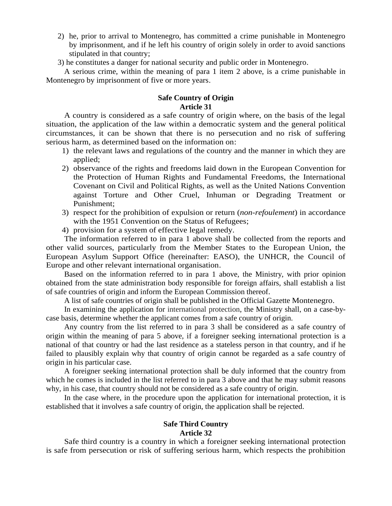- 2) he, prior to arrival to Montenegro, has committed a crime punishable in Montenegro by imprisonment, and if he left his country of origin solely in order to avoid sanctions stipulated in that country;
- 3) he constitutes a danger for national security and public order in Montenegro.

A serious crime, within the meaning of para 1 item 2 above, is a crime punishable in Montenegro by imprisonment of five or more years.

## **Safe Country of Origin Article 31**

A country is considered as a safe country of origin where, on the basis of the legal situation, the application of the law within a democratic system and the general political circumstances, it can be shown that there is no persecution and no risk of suffering serious harm, as determined based on the information on:

- 1) the relevant laws and regulations of the country and the manner in which they are applied;
- 2) observance of the rights and freedoms laid down in the European Convention for the Protection of Human Rights and Fundamental Freedoms, the International Covenant on Civil and Political Rights, as well as the United Nations Convention against Torture and Other Cruel, Inhuman or Degrading Treatment or Punishment;
- 3) respect for the prohibition of expulsion or return (*non-refoulement*) in accordance with the 1951 Convention on the Status of Refugees;
- 4) provision for a system of effective legal remedy.

The information referred to in para 1 above shall be collected from the reports and other valid sources, particularly from the Member States to the European Union, the European Asylum Support Office (hereinafter: EASO), the UNHCR, the Council of Europe and other relevant international organisation.

Based on the information referred to in para 1 above, the Ministry, with prior opinion obtained from the state administration body responsible for foreign affairs, shall establish a list of safe countries of origin and inform the European Commission thereof.

A list of safe countries of origin shall be published in the Official Gazette Montenegro.

In examining the application for international protection, the Ministry shall, on a case-bycase basis, determine whether the applicant comes from a safe country of origin.

Any country from the list referred to in para 3 shall be considered as a safe country of origin within the meaning of para 5 above, if a foreigner seeking international protection is a national of that country or had the last residence as a stateless person in that country, and if he failed to plausibly explain why that country of origin cannot be regarded as a safe country of origin in his particular case.

A foreigner seeking international protection shall be duly informed that the country from which he comes is included in the list referred to in para 3 above and that he may submit reasons why, in his case, that country should not be considered as a safe country of origin.

In the case where, in the procedure upon the application for international protection, it is established that it involves a safe country of origin, the application shall be rejected.

## **Safe Third Country Article 32**

Safe third country is a country in which a foreigner seeking international protection is safe from persecution or risk of suffering serious harm, which respects the prohibition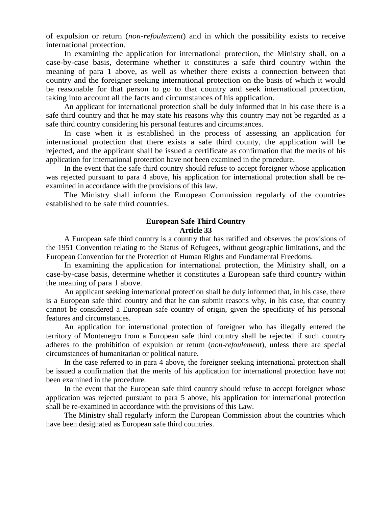of expulsion or return (*non-refoulement*) and in which the possibility exists to receive international protection.

In examining the application for international protection, the Ministry shall, on a case-by-case basis, determine whether it constitutes a safe third country within the meaning of para 1 above, as well as whether there exists a connection between that country and the foreigner seeking international protection on the basis of which it would be reasonable for that person to go to that country and seek international protection, taking into account all the facts and circumstances of his application.

An applicant for international protection shall be duly informed that in his case there is a safe third country and that he may state his reasons why this country may not be regarded as a safe third country considering his personal features and circumstances.

In case when it is established in the process of assessing an application for international protection that there exists a safe third county, the application will be rejected, and the applicant shall be issued a certificate as confirmation that the merits of his application for international protection have not been examined in the procedure.

In the event that the safe third country should refuse to accept foreigner whose application was rejected pursuant to para 4 above, his application for international protection shall be reexamined in accordance with the provisions of this law.

The Ministry shall inform the European Commission regularly of the countries established to be safe third countries.

### **European Safe Third Country Article 33**

A European safe third country is a country that has ratified and observes the provisions of the 1951 Convention relating to the Status of Refugees, without geographic limitations, and the European Convention for the Protection of Human Rights and Fundamental Freedoms.

In examining the application for international protection, the Ministry shall, on a case-by-case basis, determine whether it constitutes a European safe third country within the meaning of para 1 above.

An applicant seeking international protection shall be duly informed that, in his case, there is a European safe third country and that he can submit reasons why, in his case, that country cannot be considered a European safe country of origin, given the specificity of his personal features and circumstances.

An application for international protection of foreigner who has illegally entered the territory of Montenegro from a European safe third country shall be rejected if such country adheres to the prohibition of expulsion or return (*non-refoulement*), unless there are special circumstances of humanitarian or political nature.

In the case referred to in para 4 above, the foreigner seeking international protection shall be issued a confirmation that the merits of his application for international protection have not been examined in the procedure.

In the event that the European safe third country should refuse to accept foreigner whose application was rejected pursuant to para 5 above, his application for international protection shall be re-examined in accordance with the provisions of this Law.

The Ministry shall regularly inform the European Commission about the countries which have been designated as European safe third countries.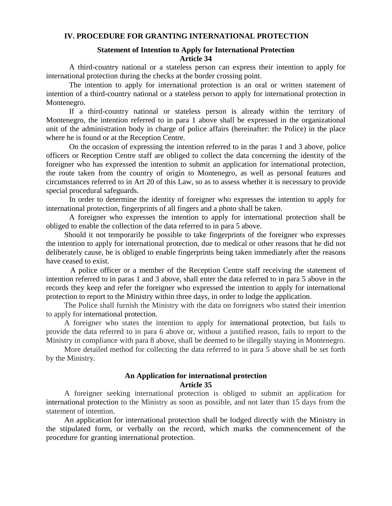### **IV. PROCEDURE FOR GRANTING INTERNATIONAL PROTECTION**

## **Statement of Intention to Apply for International Protection Article 34**

A third-country national or a stateless person can express their intention to apply for international protection during the checks at the border crossing point.

The intention to apply for international protection is an oral or written statement of intention of a third-country national or a stateless person to apply for international protection in Montenegro.

If a third-country national or stateless person is already within the territory of Montenegro, the intention referred to in para 1 above shall be expressed in the organizational unit of the administration body in charge of police affairs (hereinafter: the Police) in the place where he is found or at the Reception Centre.

On the occasion of expressing the intention referred to in the paras 1 and 3 above, police officers or Reception Centre staff are obliged to collect the data concerning the identity of the foreigner who has expressed the intention to submit an application for international protection, the route taken from the country of origin to Montenegro, as well as personal features and circumstances referred to in Art 20 of this Law, so as to assess whether it is necessary to provide special procedural safeguards.

In order to determine the identity of foreigner who expresses the intention to apply for international protection, fingerprints of all fingers and a photo shall be taken.

A foreigner who expresses the intention to apply for international protection shall be obliged to enable the collection of the data referred to in para 5 above.

Should it not temporarily be possible to take fingerprints of the foreigner who expresses the intention to apply for international protection, due to medical or other reasons that he did not deliberately cause, he is obliged to enable fingerprints being taken immediately after the reasons have ceased to exist.

 A police officer or a member of the Reception Centre staff receiving the statement of intention referred to in paras 1 and 3 above, shall enter the data referred to in para 5 above in the records they keep and refer the foreigner who expressed the intention to apply for international protection to report to the Ministry within three days, in order to lodge the application.

The Police shall furnish the Ministry with the data on foreigners who stated their intention to apply for international protection.

A foreigner who states the intention to apply for international protection, but fails to provide the data referred to in para 6 above or, without a justified reason, fails to report to the Ministry in compliance with para 8 above, shall be deemed to be illegally staying in Montenegro.

More detailed method for collecting the data referred to in para 5 above shall be set forth by the Ministry.

## **An Application for international protection Article 35**

A foreigner seeking international protection is obliged to submit an application for international protection to the Ministry as soon as possible, and not later than 15 days from the statement of intention.

An application for international protection shall be lodged directly with the Ministry in the stipulated form, or verbally on the record, which marks the commencement of the procedure for granting international protection.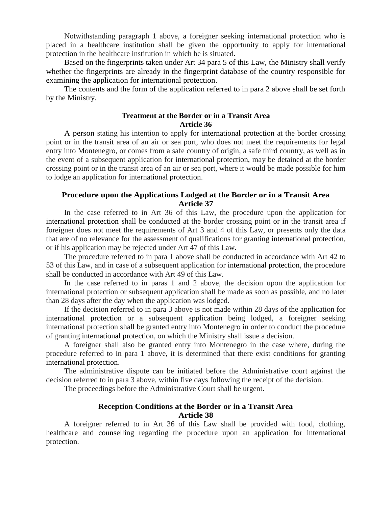Notwithstanding paragraph 1 above, a foreigner seeking international protection who is placed in a healthcare institution shall be given the opportunity to apply for international protection in the healthcare institution in which he is situated.

Based on the fingerprints taken under Art 34 para 5 of this Law, the Ministry shall verify whether the fingerprints are already in the fingerprint database of the country responsible for examining the application for international protection.

The contents and the form of the application referred to in para 2 above shall be set forth by the Ministry.

#### **Treatment at the Border or in a Transit Area Article 36**

A person stating his intention to apply for international protection at the border crossing point or in the transit area of an air or sea port, who does not meet the requirements for legal entry into Montenegro, or comes from a safe country of origin, a safe third country, as well as in the event of a subsequent application for international protection, may be detained at the border crossing point or in the transit area of an air or sea port, where it would be made possible for him to lodge an application for international protection.

## **Procedure upon the Applications Lodged at the Border or in a Transit Area Article 37**

In the case referred to in Art 36 of this Law, the procedure upon the application for international protection shall be conducted at the border crossing point or in the transit area if foreigner does not meet the requirements of Art 3 and 4 of this Law, or presents only the data that are of no relevance for the assessment of qualifications for granting international protection, or if his application may be rejected under Art 47 of this Law.

The procedure referred to in para 1 above shall be conducted in accordance with Art 42 to 53 of this Law, and in case of a subsequent application for international protection, the procedure shall be conducted in accordance with Art 49 of this Law.

In the case referred to in paras 1 and 2 above, the decision upon the application for international protection or subsequent application shall be made as soon as possible, and no later than 28 days after the day when the application was lodged.

If the decision referred to in para 3 above is not made within 28 days of the application for international protection or a subsequent application being lodged, a foreigner seeking international protection shall be granted entry into Montenegro in order to conduct the procedure of granting international protection, on which the Ministry shall issue a decision.

A foreigner shall also be granted entry into Montenegro in the case where, during the procedure referred to in para 1 above, it is determined that there exist conditions for granting international protection.

The administrative dispute can be initiated before the Administrative court against the decision referred to in para 3 above, within five days following the receipt of the decision.

The proceedings before the Administrative Court shall be urgent.

## **Reception Conditions at the Border or in a Transit Area Article 38**

A foreigner referred to in Art 36 of this Law shall be provided with food, clothing, healthcare and counselling regarding the procedure upon an application for international protection.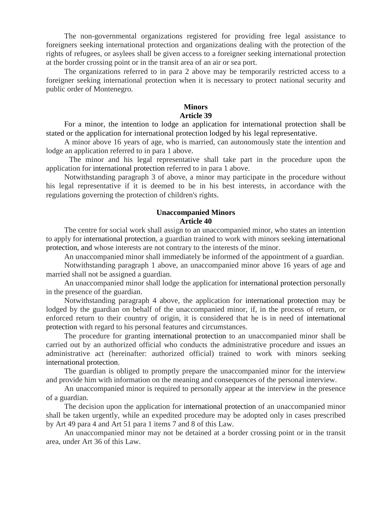The non-governmental organizations registered for providing free legal assistance to foreigners seeking international protection and organizations dealing with the protection of the rights of refugees, or asylees shall be given access to a foreigner seeking international protection at the border crossing point or in the transit area of an air or sea port.

The organizations referred to in para 2 above may be temporarily restricted access to a foreigner seeking international protection when it is necessary to protect national security and public order of Montenegro.

## **Minors**

## **Article 39**

For a minor, the intention to lodge an application for international protection shall be stated or the application for international protection lodged by his legal representative.

A minor above 16 years of age, who is married, can autonomously state the intention and lodge an application referred to in para 1 above.

The minor and his legal representative shall take part in the procedure upon the application for international protection referred to in para 1 above.

Notwithstanding paragraph 3 of above, a minor may participate in the procedure without his legal representative if it is deemed to be in his best interests, in accordance with the regulations governing the protection of children's rights.

## **Unaccompanied Minors Article 40**

The centre for social work shall assign to an unaccompanied minor, who states an intention to apply for international protection, a guardian trained to work with minors seeking international protection, and whose interests are not contrary to the interests of the minor.

An unaccompanied minor shall immediately be informed of the appointment of a guardian.

Notwithstanding paragraph 1 above, an unaccompanied minor above 16 years of age and married shall not be assigned a guardian.

An unaccompanied minor shall lodge the application for international protection personally in the presence of the guardian.

Notwithstanding paragraph 4 above, the application for international protection may be lodged by the guardian on behalf of the unaccompanied minor, if, in the process of return, or enforced return to their country of origin, it is considered that he is in need of international protection with regard to his personal features and circumstances.

The procedure for granting international protection to an unaccompanied minor shall be carried out by an authorized official who conducts the administrative procedure and issues an administrative act (hereinafter: authorized official) trained to work with minors seeking international protection.

The guardian is obliged to promptly prepare the unaccompanied minor for the interview and provide him with information on the meaning and consequences of the personal interview.

An unaccompanied minor is required to personally appear at the interview in the presence of a guardian.

The decision upon the application for international protection of an unaccompanied minor shall be taken urgently, while an expedited procedure may be adopted only in cases prescribed by Art 49 para 4 and Art 51 para 1 items 7 and 8 of this Law.

An unaccompanied minor may not be detained at a border crossing point or in the transit area, under Art 36 of this Law.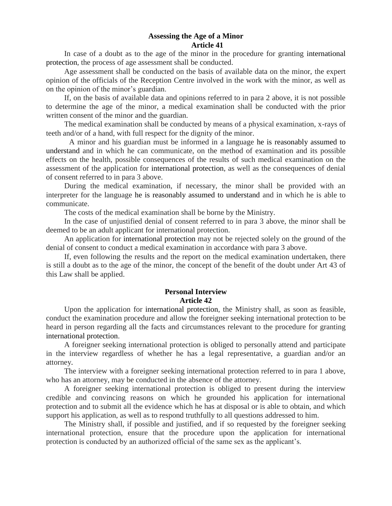#### **Assessing the Age of a Minor Article 41**

In case of a doubt as to the age of the minor in the procedure for granting international protection, the process of age assessment shall be conducted.

Age assessment shall be conducted on the basis of available data on the minor, the expert opinion of the officials of the Reception Centre involved in the work with the minor, as well as on the opinion of the minor's guardian.

If, on the basis of available data and opinions referred to in para 2 above, it is not possible to determine the age of the minor, a medical examination shall be conducted with the prior written consent of the minor and the guardian.

The medical examination shall be conducted by means of a physical examination, x-rays of teeth and/or of a hand, with full respect for the dignity of the minor.

A minor and his guardian must be informed in a language he is reasonably assumed to understand and in which he can communicate, on the method of examination and its possible effects on the health, possible consequences of the results of such medical examination on the assessment of the application for international protection, as well as the consequences of denial of consent referred to in para 3 above.

During the medical examination, if necessary, the minor shall be provided with an interpreter for the language he is reasonably assumed to understand and in which he is able to communicate.

The costs of the medical examination shall be borne by the Ministry.

In the case of unjustified denial of consent referred to in para 3 above, the minor shall be deemed to be an adult applicant for international protection.

An application for international protection may not be rejected solely on the ground of the denial of consent to conduct a medical examination in accordance with para 3 above.

If, even following the results and the report on the medical examination undertaken, there is still a doubt as to the age of the minor, the concept of the benefit of the doubt under Art 43 of this Law shall be applied.

## **Personal Interview Article 42**

Upon the application for international protection, the Ministry shall, as soon as feasible, conduct the examination procedure and allow the foreigner seeking international protection to be heard in person regarding all the facts and circumstances relevant to the procedure for granting international protection.

A foreigner seeking international protection is obliged to personally attend and participate in the interview regardless of whether he has a legal representative, a guardian and/or an attorney.

The interview with a foreigner seeking international protection referred to in para 1 above, who has an attorney, may be conducted in the absence of the attorney.

A foreigner seeking international protection is obliged to present during the interview credible and convincing reasons on which he grounded his application for international protection and to submit all the evidence which he has at disposal or is able to obtain, and which support his application, as well as to respond truthfully to all questions addressed to him.

The Ministry shall, if possible and justified, and if so requested by the foreigner seeking international protection, ensure that the procedure upon the application for international protection is conducted by an authorized official of the same sex as the applicant's.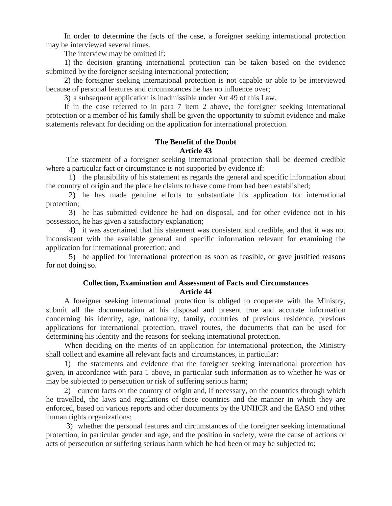In order to determine the facts of the case, a foreigner seeking international protection may be interviewed several times.

The interview may be omitted if:

1) the decision granting international protection can be taken based on the evidence submitted by the foreigner seeking international protection;

2) the foreigner seeking international protection is not capable or able to be interviewed because of personal features and circumstances he has no influence over;

3) a subsequent application is inadmissible under Art 49 of this Law.

If in the case referred to in para 7 item 2 above, the foreigner seeking international protection or a member of his family shall be given the opportunity to submit evidence and make statements relevant for deciding on the application for international protection.

## **The Benefit of the Doubt Article 43**

The statement of a foreigner seeking international protection shall be deemed credible where a particular fact or circumstance is not supported by evidence if:

1) the plausibility of his statement as regards the general and specific information about the country of origin and the place he claims to have come from had been established;

2) he has made genuine efforts to substantiate his application for international protection;

3) he has submitted evidence he had on disposal, and for other evidence not in his possession, he has given a satisfactory explanation;

4) it was ascertained that his statement was consistent and credible, and that it was not inconsistent with the available general and specific information relevant for examining the application for international protection; and

5) he applied for international protection as soon as feasible, or gave justified reasons for not doing so.

## **Collection, Examination and Assessment of Facts and Circumstances Article 44**

A foreigner seeking international protection is obliged to cooperate with the Ministry, submit all the documentation at his disposal and present true and accurate information concerning his identity, age, nationality, family, countries of previous residence, previous applications for international protection, travel routes, the documents that can be used for determining his identity and the reasons for seeking international protection.

When deciding on the merits of an application for international protection, the Ministry shall collect and examine all relevant facts and circumstances, in particular:

1) the statements and evidence that the foreigner seeking international protection has given, in accordance with para 1 above, in particular such information as to whether he was or may be subjected to persecution or risk of suffering serious harm;

2) current facts on the country of origin and, if necessary, on the countries through which he travelled, the laws and regulations of those countries and the manner in which they are enforced, based on various reports and other documents by the UNHCR and the EASO and other human rights organizations;

3) whether the personal features and circumstances of the foreigner seeking international protection, in particular gender and age, and the position in society, were the cause of actions or acts of persecution or suffering serious harm which he had been or may be subjected to;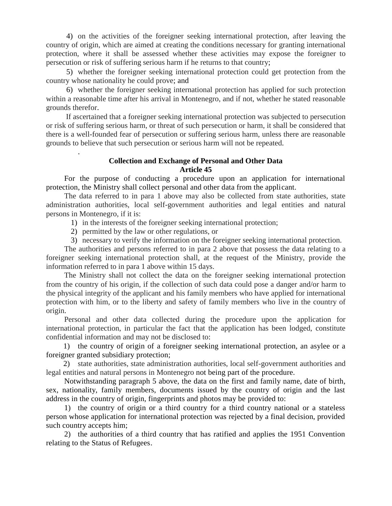4) on the activities of the foreigner seeking international protection, after leaving the country of origin, which are aimed at creating the conditions necessary for granting international protection, where it shall be assessed whether these activities may expose the foreigner to persecution or risk of suffering serious harm if he returns to that country;

5) whether the foreigner seeking international protection could get protection from the country whose nationality he could prove; and

6) whether the foreigner seeking international protection has applied for such protection within a reasonable time after his arrival in Montenegro, and if not, whether he stated reasonable grounds therefor.

 If ascertained that a foreigner seeking international protection was subjected to persecution or risk of suffering serious harm, or threat of such persecution or harm, it shall be considered that there is a well-founded fear of persecution or suffering serious harm, unless there are reasonable grounds to believe that such persecution or serious harm will not be repeated.

## **Collection and Exchange of Personal and Other Data Article 45**

For the purpose of conducting a procedure upon an application for international protection, the Ministry shall collect personal and other data from the applicant.

The data referred to in para 1 above may also be collected from state authorities, state administration authorities, local self-government authorities and legal entities and natural persons in Montenegro, if it is:

- 1) in the interests of the foreigner seeking international protection;
- 2) permitted by the law or other regulations, or

.

3) necessary to verify the information on the foreigner seeking international protection.

The authorities and persons referred to in para 2 above that possess the data relating to a foreigner seeking international protection shall, at the request of the Ministry, provide the information referred to in para 1 above within 15 days.

The Ministry shall not collect the data on the foreigner seeking international protection from the country of his origin, if the collection of such data could pose a danger and/or harm to the physical integrity of the applicant and his family members who have applied for international protection with him, or to the liberty and safety of family members who live in the country of origin.

Personal and other data collected during the procedure upon the application for international protection, in particular the fact that the application has been lodged, constitute confidential information and may not be disclosed to:

1) the country of origin of a foreigner seeking international protection, an asylee or a foreigner granted subsidiary protection;

2) state authorities, state administration authorities, local self-government authorities and legal entities and natural persons in Montenegro not being part of the procedure.

Notwithstanding paragraph 5 above, the data on the first and family name, date of birth, sex, nationality, family members, documents issued by the country of origin and the last address in the country of origin, fingerprints and photos may be provided to:

1) the country of origin or a third country for a third country national or a stateless person whose application for international protection was rejected by a final decision, provided such country accepts him;

2) the authorities of a third country that has ratified and applies the 1951 Convention relating to the Status of Refugees.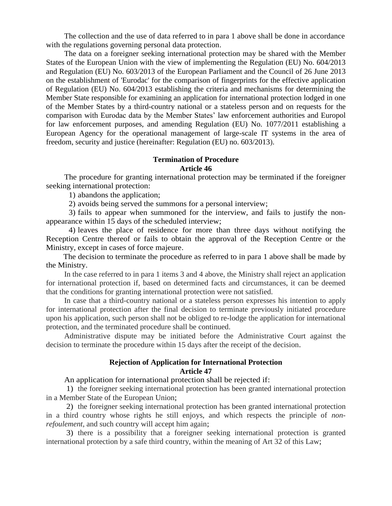The collection and the use of data referred to in para 1 above shall be done in accordance with the regulations governing personal data protection.

The data on a foreigner seeking international protection may be shared with the Member States of the European Union with the view of implementing the Regulation (EU) No. 604/2013 and Regulation (EU) No. 603/2013 of the European Parliament and the Council of 26 June 2013 on the establishment of 'Eurodac' for the comparison of fingerprints for the effective application of Regulation (EU) No. 604/2013 establishing the criteria and mechanisms for determining the Member State responsible for examining an application for international protection lodged in one of the Member States by a third-country national or a stateless person and on requests for the comparison with Eurodac data by the Member States' law enforcement authorities and Europol for law enforcement purposes, and amending Regulation (EU) No. 1077/2011 establishing a European Agency for the operational management of large-scale IT systems in the area of freedom, security and justice (hereinafter: Regulation (EU) no. 603/2013).

#### **Termination of Procedure Article 46**

The procedure for granting international protection may be terminated if the foreigner seeking international protection:

1) abandons the application;

2) avoids being served the summons for a personal interview;

3) fails to appear when summoned for the interview, and fails to justify the nonappearance within 15 days of the scheduled interview;

4) leaves the place of residence for more than three days without notifying the Reception Centre thereof or fails to obtain the approval of the Reception Centre or the Ministry, except in cases of force majeure.

The decision to terminate the procedure as referred to in para 1 above shall be made by the Ministry.

In the case referred to in para 1 items 3 and 4 above, the Ministry shall reject an application for international protection if, based on determined facts and circumstances, it can be deemed that the conditions for granting international protection were not satisfied.

In case that a third-country national or a stateless person expresses his intention to apply for international protection after the final decision to terminate previously initiated procedure upon his application, such person shall not be obliged to re-lodge the application for international protection, and the terminated procedure shall be continued.

Administrative dispute may be initiated before the Administrative Court against the decision to terminate the procedure within 15 days after the receipt of the decision.

## **Rejection of Application for International Protection Article 47**

An application for international protection shall be rejected if:

1) the foreigner seeking international protection has been granted international protection in a Member State of the European Union;

2) the foreigner seeking international protection has been granted international protection in a third country whose rights he still enjoys, and which respects the principle of *nonrefoulement*, and such country will accept him again;

3) there is a possibility that a foreigner seeking international protection is granted international protection by a safe third country, within the meaning of Art 32 of this Law;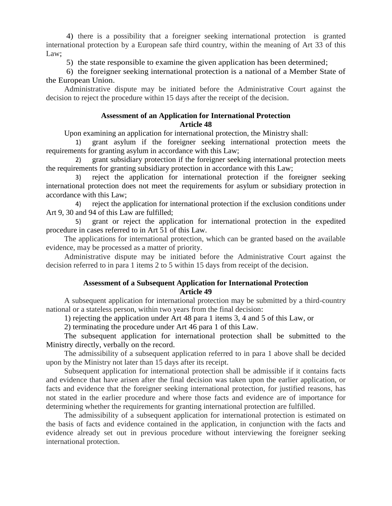4) there is a possibility that a foreigner seeking international protection is granted international protection by a European safe third country, within the meaning of Art 33 of this Law;

5) the state responsible to examine the given application has been determined;

6) the foreigner seeking international protection is a national of a Member State of the European Union.

Administrative dispute may be initiated before the Administrative Court against the decision to reject the procedure within 15 days after the receipt of the decision.

#### **Assessment of an Application for International Protection Article 48**

Upon examining an application for international protection, the Ministry shall:

1) grant asylum if the foreigner seeking international protection meets the requirements for granting asylum in accordance with this Law;

2) grant subsidiary protection if the foreigner seeking international protection meets the requirements for granting subsidiary protection in accordance with this Law;

3) reject the application for international protection if the foreigner seeking international protection does not meet the requirements for asylum or subsidiary protection in accordance with this Law;

4) reject the application for international protection if the exclusion conditions under Art 9, 30 and 94 of this Law are fulfilled;

5) grant or reject the application for international protection in the expedited procedure in cases referred to in Art 51 of this Law.

The applications for international protection, which can be granted based on the available evidence, may be processed as a matter of priority.

Administrative dispute may be initiated before the Administrative Court against the decision referred to in para 1 items 2 to 5 within 15 days from receipt of the decision.

## **Assessment of a Subsequent Application for International Protection Article 49**

A subsequent application for international protection may be submitted by a third-country national or a stateless person, within two years from the final decision:

1) rejecting the application under Art 48 para 1 items 3, 4 and 5 of this Law, or

2) terminating the procedure under Art 46 para 1 of this Law.

The subsequent application for international protection shall be submitted to the Ministry directly, verbally on the record.

The admissibility of a subsequent application referred to in para 1 above shall be decided upon by the Ministry not later than 15 days after its receipt.

Subsequent application for international protection shall be admissible if it contains facts and evidence that have arisen after the final decision was taken upon the earlier application, or facts and evidence that the foreigner seeking international protection, for justified reasons, has not stated in the earlier procedure and where those facts and evidence are of importance for determining whether the requirements for granting international protection are fulfilled.

The admissibility of a subsequent application for international protection is estimated on the basis of facts and evidence contained in the application, in conjunction with the facts and evidence already set out in previous procedure without interviewing the foreigner seeking international protection.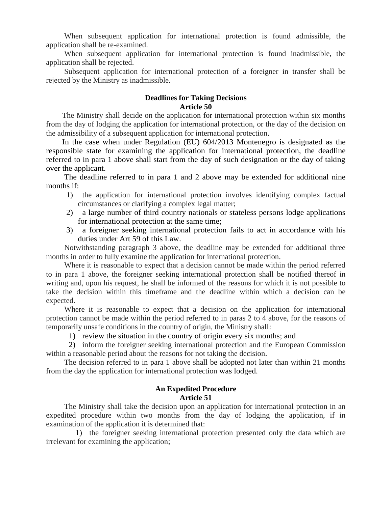When subsequent application for international protection is found admissible, the application shall be re-examined.

When subsequent application for international protection is found inadmissible, the application shall be rejected.

Subsequent application for international protection of a foreigner in transfer shall be rejected by the Ministry as inadmissible.

## **Deadlines for Taking Decisions Article 50**

 The Ministry shall decide on the application for international protection within six months from the day of lodging the application for international protection, or the day of the decision on the admissibility of a subsequent application for international protection.

 In the case when under Regulation (EU) 604/2013 Montenegro is designated as the responsible state for examining the application for international protection, the deadline referred to in para 1 above shall start from the day of such designation or the day of taking over the applicant.

The deadline referred to in para 1 and 2 above may be extended for additional nine months if:

- 1) the application for international protection involves identifying complex factual circumstances or clarifying a complex legal matter;
- 2) a large number of third country nationals or stateless persons lodge applications for international protection at the same time;
- 3) a foreigner seeking international protection fails to act in accordance with his duties under Art 59 of this Law.

Notwithstanding paragraph 3 above, the deadline may be extended for additional three months in order to fully examine the application for international protection.

Where it is reasonable to expect that a decision cannot be made within the period referred to in para 1 above, the foreigner seeking international protection shall be notified thereof in writing and, upon his request, he shall be informed of the reasons for which it is not possible to take the decision within this timeframe and the deadline within which a decision can be expected.

Where it is reasonable to expect that a decision on the application for international protection cannot be made within the period referred to in paras 2 to 4 above, for the reasons of temporarily unsafe conditions in the country of origin, the Ministry shall:

1) review the situation in the country of origin every six months; and

2) inform the foreigner seeking international protection and the European Commission within a reasonable period about the reasons for not taking the decision.

The decision referred to in para 1 above shall be adopted not later than within 21 months from the day the application for international protection was lodged.

### **An Expedited Procedure Article 51**

The Ministry shall take the decision upon an application for international protection in an expedited procedure within two months from the day of lodging the application, if in examination of the application it is determined that:

1) the foreigner seeking international protection presented only the data which are irrelevant for examining the application;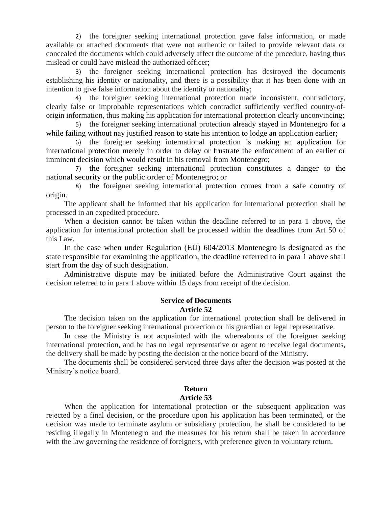2) the foreigner seeking international protection gave false information, or made available or attached documents that were not authentic or failed to provide relevant data or concealed the documents which could adversely affect the outcome of the procedure, having thus mislead or could have mislead the authorized officer;

3) the foreigner seeking international protection has destroyed the documents establishing his identity or nationality, and there is a possibility that it has been done with an intention to give false information about the identity or nationality;

4) the foreigner seeking international protection made inconsistent, contradictory, clearly false or improbable representations which contradict sufficiently verified country-oforigin information, thus making his application for international protection clearly unconvincing;

5) the foreigner seeking international protection already stayed in Montenegro for a while failing without nay justified reason to state his intention to lodge an application earlier;

6) the foreigner seeking international protection is making an application for international protection merely in order to delay or frustrate the enforcement of an earlier or imminent decision which would result in his removal from Montenegro;

7) the foreigner seeking international protection constitutes a danger to the national security or the public order of Montenegro; or

8) the foreigner seeking international protection comes from a safe country of origin.

The applicant shall be informed that his application for international protection shall be processed in an expedited procedure.

When a decision cannot be taken within the deadline referred to in para 1 above, the application for international protection shall be processed within the deadlines from Art 50 of this Law.

In the case when under Regulation (EU) 604/2013 Montenegro is designated as the state responsible for examining the application, the deadline referred to in para 1 above shall start from the day of such designation.

Administrative dispute may be initiated before the Administrative Court against the decision referred to in para 1 above within 15 days from receipt of the decision.

## **Service of Documents Article 52**

The decision taken on the application for international protection shall be delivered in person to the foreigner seeking international protection or his guardian or legal representative.

In case the Ministry is not acquainted with the whereabouts of the foreigner seeking international protection, and he has no legal representative or agent to receive legal documents, the delivery shall be made by posting the decision at the notice board of the Ministry.

The documents shall be considered serviced three days after the decision was posted at the Ministry's notice board.

## **Return Article 53**

When the application for international protection or the subsequent application was rejected by a final decision, or the procedure upon his application has been terminated, or the decision was made to terminate asylum or subsidiary protection, he shall be considered to be residing illegally in Montenegro and the measures for his return shall be taken in accordance with the law governing the residence of foreigners, with preference given to voluntary return.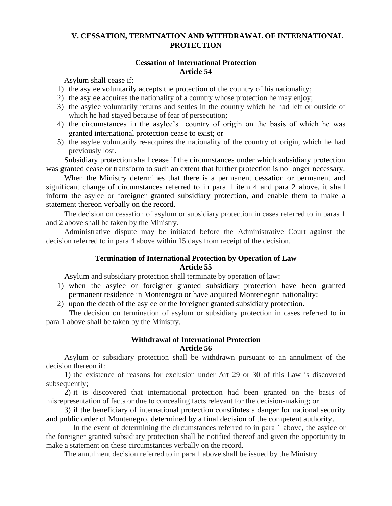## **V. CESSATION, TERMINATION AND WITHDRAWAL OF INTERNATIONAL PROTECTION**

### **Cessation of International Protection Article 54**

Asylum shall cease if:

- 1) the asylee voluntarily accepts the protection of the country of his nationality;
- 2) the asylee acquires the nationality of a country whose protection he may enjoy;
- 3) the asylee voluntarily returns and settles in the country which he had left or outside of which he had stayed because of fear of persecution;
- 4) the circumstances in the asylee's country of origin on the basis of which he was granted international protection cease to exist; or
- 5) the asylee voluntarily re-acquires the nationality of the country of origin, which he had previously lost.

Subsidiary protection shall cease if the circumstances under which subsidiary protection was granted cease or transform to such an extent that further protection is no longer necessary.

When the Ministry determines that there is a permanent cessation or permanent and significant change of circumstances referred to in para 1 item 4 and para 2 above, it shall inform the asylee or foreigner granted subsidiary protection, and enable them to make a statement thereon verbally on the record.

The decision on cessation of asylum or subsidiary protection in cases referred to in paras 1 and 2 above shall be taken by the Ministry.

Administrative dispute may be initiated before the Administrative Court against the decision referred to in para 4 above within 15 days from receipt of the decision.

## **Termination of International Protection by Operation of Law Article 55**

Asylum and subsidiary protection shall terminate by operation of law:

- 1) when the asylee or foreigner granted subsidiary protection have been granted permanent residence in Montenegro or have acquired Montenegrin nationality;
- 2) upon the death of the asylee or the foreigner granted subsidiary protection.

The decision on termination of asylum or subsidiary protection in cases referred to in para 1 above shall be taken by the Ministry.

## **Withdrawal of International Protection Article 56**

Asylum or subsidiary protection shall be withdrawn pursuant to an annulment of the decision thereon if:

1) the existence of reasons for exclusion under Art 29 or 30 of this Law is discovered subsequently;

2) it is discovered that international protection had been granted on the basis of misrepresentation of facts or due to concealing facts relevant for the decision-making; or

3) if the beneficiary of international protection constitutes a danger for national security and public order of Montenegro, determined by a final decision of the competent authority.

In the event of determining the circumstances referred to in para 1 above, the asylee or the foreigner granted subsidiary protection shall be notified thereof and given the opportunity to make a statement on these circumstances verbally on the record.

The annulment decision referred to in para 1 above shall be issued by the Ministry.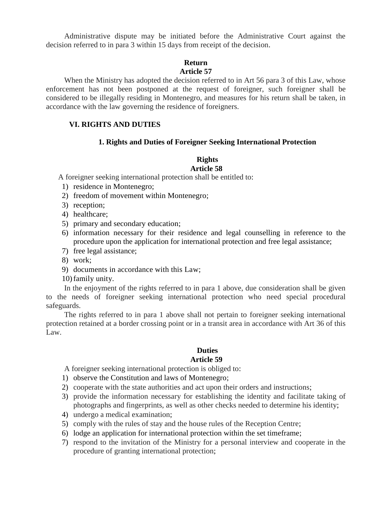Administrative dispute may be initiated before the Administrative Court against the decision referred to in para 3 within 15 days from receipt of the decision.

#### **Return Article 57**

When the Ministry has adopted the decision referred to in Art 56 para 3 of this Law, whose enforcement has not been postponed at the request of foreigner, such foreigner shall be considered to be illegally residing in Montenegro, and measures for his return shall be taken, in accordance with the law governing the residence of foreigners.

## **VI. RIGHTS AND DUTIES**

### **1. Rights and Duties of Foreigner Seeking International Protection**

## **Rights**

## **Article 58**

A foreigner seeking international protection shall be entitled to:

- 1) residence in Montenegro;
- 2) freedom of movement within Montenegro;
- 3) reception;
- 4) healthcare;
- 5) primary and secondary education;
- 6) information necessary for their residence and legal counselling in reference to the procedure upon the application for international protection and free legal assistance;
- 7) free legal assistance;
- 8) work;
- 9) documents in accordance with this Law;
- 10)family unity.

In the enjoyment of the rights referred to in para 1 above, due consideration shall be given to the needs of foreigner seeking international protection who need special procedural safeguards.

The rights referred to in para 1 above shall not pertain to foreigner seeking international protection retained at a border crossing point or in a transit area in accordance with Art 36 of this Law.

#### **Duties Article 59**

A foreigner seeking international protection is obliged to:

- 1) observe the Constitution and laws of Montenegro;
- 2) cooperate with the state authorities and act upon their orders and instructions;
- 3) provide the information necessary for establishing the identity and facilitate taking of photographs and fingerprints, as well as other checks needed to determine his identity;
- 4) undergo a medical examination;
- 5) comply with the rules of stay and the house rules of the Reception Centre;
- 6) lodge an application for international protection within the set timeframe;
- 7) respond to the invitation of the Ministry for a personal interview and cooperate in the procedure of granting international protection;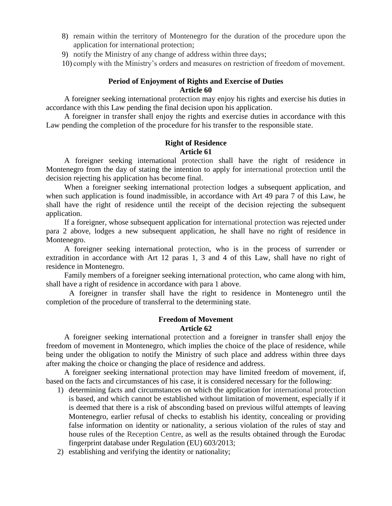- 8) remain within the territory of Montenegro for the duration of the procedure upon the application for international protection;
- 9) notify the Ministry of any change of address within three days;

10) comply with the Ministry's orders and measures on restriction of freedom of movement.

## **Period of Enjoyment of Rights and Exercise of Duties Article 60**

A foreigner seeking international protection may enjoy his rights and exercise his duties in accordance with this Law pending the final decision upon his application.

A foreigner in transfer shall enjoy the rights and exercise duties in accordance with this Law pending the completion of the procedure for his transfer to the responsible state.

## **Right of Residence Article 61**

A foreigner seeking international protection shall have the right of residence in Montenegro from the day of stating the intention to apply for international protection until the decision rejecting his application has become final.

When a foreigner seeking international protection lodges a subsequent application, and when such application is found inadmissible, in accordance with Art 49 para 7 of this Law, he shall have the right of residence until the receipt of the decision rejecting the subsequent application.

If a foreigner, whose subsequent application for international protection was rejected under para 2 above, lodges a new subsequent application, he shall have no right of residence in Montenegro.

A foreigner seeking international protection, who is in the process of surrender or extradition in accordance with Art 12 paras 1, 3 and 4 of this Law, shall have no right of residence in Montenegro.

Family members of a foreigner seeking international protection, who came along with him, shall have a right of residence in accordance with para 1 above.

A foreigner in transfer shall have the right to residence in Montenegro until the completion of the procedure of transferral to the determining state.

## **Freedom of Movement Article 62**

A foreigner seeking international protection and a foreigner in transfer shall enjoy the freedom of movement in Montenegro, which implies the choice of the place of residence, while being under the obligation to notify the Ministry of such place and address within three days after making the choice or changing the place of residence and address.

A foreigner seeking international protection may have limited freedom of movement, if, based on the facts and circumstances of his case, it is considered necessary for the following:

- 1) determining facts and circumstances on which the application for international protection is based, and which cannot be established without limitation of movement, especially if it is deemed that there is a risk of absconding based on previous wilful attempts of leaving Montenegro, earlier refusal of checks to establish his identity, concealing or providing false information on identity or nationality, a serious violation of the rules of stay and house rules of the Reception Centre, as well as the results obtained through the Eurodac fingerprint database under Regulation (EU) 603/2013;
- 2) establishing and verifying the identity or nationality;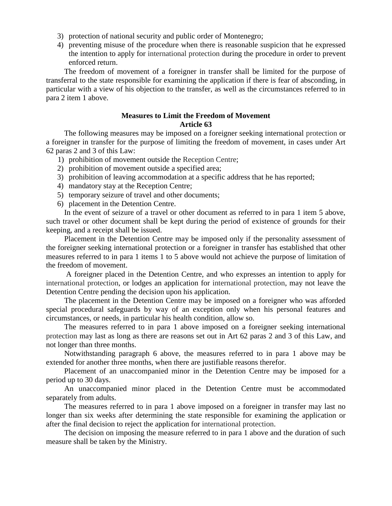- 3) protection of national security and public order of Montenegro;
- 4) preventing misuse of the procedure when there is reasonable suspicion that he expressed the intention to apply for international protection during the procedure in order to prevent enforced return.

The freedom of movement of a foreigner in transfer shall be limited for the purpose of transferral to the state responsible for examining the application if there is fear of absconding, in particular with a view of his objection to the transfer, as well as the circumstances referred to in para 2 item 1 above.

#### **Measures to Limit the Freedom of Movement Article 63**

The following measures may be imposed on a foreigner seeking international protection or a foreigner in transfer for the purpose of limiting the freedom of movement, in cases under Art 62 paras 2 and 3 of this Law:

- 1) prohibition of movement outside the Reception Centre;
- 2) prohibition of movement outside a specified area;
- 3) prohibition of leaving accommodation at a specific address that he has reported;
- 4) mandatory stay at the Reception Centre;
- 5) temporary seizure of travel and other documents;
- 6) placement in the Detention Centre.

In the event of seizure of a travel or other document as referred to in para 1 item 5 above, such travel or other document shall be kept during the period of existence of grounds for their keeping, and a receipt shall be issued.

Placement in the Detention Centre may be imposed only if the personality assessment of the foreigner seeking international protection or a foreigner in transfer has established that other measures referred to in para 1 items 1 to 5 above would not achieve the purpose of limitation of the freedom of movement.

A foreigner placed in the Detention Centre, and who expresses an intention to apply for international protection, or lodges an application for international protection, may not leave the Detention Centre pending the decision upon his application.

The placement in the Detention Centre may be imposed on a foreigner who was afforded special procedural safeguards by way of an exception only when his personal features and circumstances, or needs, in particular his health condition, allow so.

The measures referred to in para 1 above imposed on a foreigner seeking international protection may last as long as there are reasons set out in Art 62 paras 2 and 3 of this Law, and not longer than three months.

Notwithstanding paragraph 6 above, the measures referred to in para 1 above may be extended for another three months, when there are justifiable reasons therefor.

Placement of an unaccompanied minor in the Detention Centre may be imposed for a period up to 30 days.

An unaccompanied minor placed in the Detention Centre must be accommodated separately from adults.

The measures referred to in para 1 above imposed on a foreigner in transfer may last no longer than six weeks after determining the state responsible for examining the application or after the final decision to reject the application for international protection.

The decision on imposing the measure referred to in para 1 above and the duration of such measure shall be taken by the Ministry.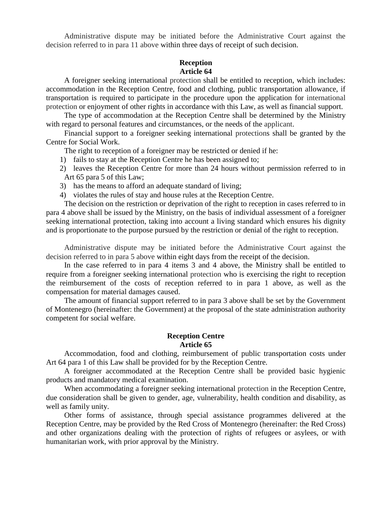Administrative dispute may be initiated before the Administrative Court against the decision referred to in para 11 above within three days of receipt of such decision.

#### **Reception Article 64**

A foreigner seeking international protection shall be entitled to reception, which includes: accommodation in the Reception Centre, food and clothing, public transportation allowance, if transportation is required to participate in the procedure upon the application for international protection or enjoyment of other rights in accordance with this Law, as well as financial support.

The type of accommodation at the Reception Centre shall be determined by the Ministry with regard to personal features and circumstances, or the needs of the applicant.

Financial support to a foreigner seeking international protections shall be granted by the Centre for Social Work.

The right to reception of a foreigner may be restricted or denied if he:

- 1) fails to stay at the Reception Centre he has been assigned to;
- 2) leaves the Reception Centre for more than 24 hours without permission referred to in Art 65 para 5 of this Law;
- 3) has the means to afford an adequate standard of living;
- 4) violates the rules of stay and house rules at the Reception Centre.

The decision on the restriction or deprivation of the right to reception in cases referred to in para 4 above shall be issued by the Ministry, on the basis of individual assessment of a foreigner seeking international protection, taking into account a living standard which ensures his dignity and is proportionate to the purpose pursued by the restriction or denial of the right to reception.

Administrative dispute may be initiated before the Administrative Court against the decision referred to in para 5 above within eight days from the receipt of the decision.

In the case referred to in para 4 items 3 and 4 above, the Ministry shall be entitled to require from a foreigner seeking international protection who is exercising the right to reception the reimbursement of the costs of reception referred to in para 1 above, as well as the compensation for material damages caused.

The amount of financial support referred to in para 3 above shall be set by the Government of Montenegro (hereinafter: the Government) at the proposal of the state administration authority competent for social welfare.

#### **Reception Centre Article 65**

Accommodation, food and clothing, reimbursement of public transportation costs under Art 64 para 1 of this Law shall be provided for by the Reception Centre.

A foreigner accommodated at the Reception Centre shall be provided basic hygienic products and mandatory medical examination.

When accommodating a foreigner seeking international protection in the Reception Centre, due consideration shall be given to gender, age, vulnerability, health condition and disability, as well as family unity.

Other forms of assistance, through special assistance programmes delivered at the Reception Centre, may be provided by the Red Cross of Montenegro (hereinafter: the Red Cross) and other organizations dealing with the protection of rights of refugees or asylees, or with humanitarian work, with prior approval by the Ministry.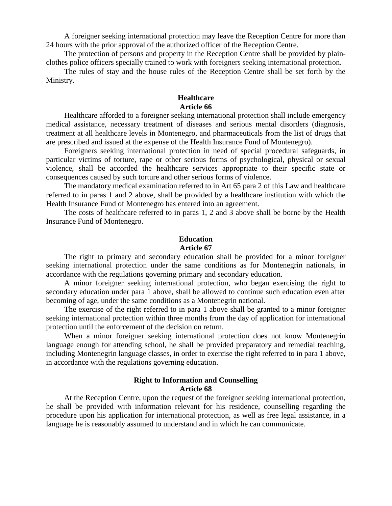A foreigner seeking international protection may leave the Reception Centre for more than 24 hours with the prior approval of the authorized officer of the Reception Centre.

The protection of persons and property in the Reception Centre shall be provided by plainclothes police officers specially trained to work with foreigners seeking international protection.

The rules of stay and the house rules of the Reception Centre shall be set forth by the Ministry.

## **Healthcare Article 66**

Healthcare afforded to a foreigner seeking international protection shall include emergency medical assistance, necessary treatment of diseases and serious mental disorders (diagnosis, treatment at all healthcare levels in Montenegro, and pharmaceuticals from the list of drugs that are prescribed and issued at the expense of the Health Insurance Fund of Montenegro).

Foreigners seeking international protection in need of special procedural safeguards, in particular victims of torture, rape or other serious forms of psychological, physical or sexual violence, shall be accorded the healthcare services appropriate to their specific state or consequences caused by such torture and other serious forms of violence.

The mandatory medical examination referred to in Art 65 para 2 of this Law and healthcare referred to in paras 1 and 2 above, shall be provided by a healthcare institution with which the Health Insurance Fund of Montenegro has entered into an agreement.

The costs of healthcare referred to in paras 1, 2 and 3 above shall be borne by the Health Insurance Fund of Montenegro.

## **Education Article 67**

The right to primary and secondary education shall be provided for a minor foreigner seeking international protection under the same conditions as for Montenegrin nationals, in accordance with the regulations governing primary and secondary education.

A minor foreigner seeking international protection, who began exercising the right to secondary education under para 1 above, shall be allowed to continue such education even after becoming of age, under the same conditions as a Montenegrin national.

The exercise of the right referred to in para 1 above shall be granted to a minor foreigner seeking international protection within three months from the day of application for international protection until the enforcement of the decision on return.

When a minor foreigner seeking international protection does not know Montenegrin language enough for attending school, he shall be provided preparatory and remedial teaching, including Montenegrin language classes, in order to exercise the right referred to in para 1 above, in accordance with the regulations governing education.

### **Right to Information and Counselling Article 68**

At the Reception Centre, upon the request of the foreigner seeking international protection, he shall be provided with information relevant for his residence, counselling regarding the procedure upon his application for international protection, as well as free legal assistance, in a language he is reasonably assumed to understand and in which he can communicate.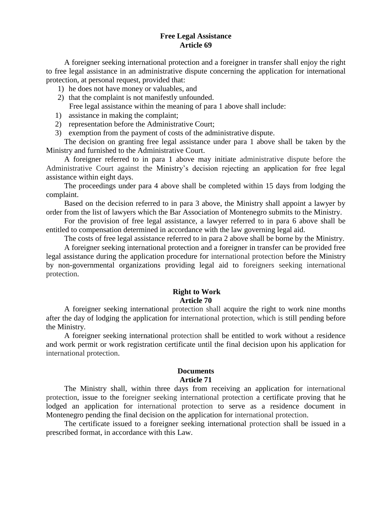### **Free Legal Assistance Article 69**

A foreigner seeking international protection and a foreigner in transfer shall enjoy the right to free legal assistance in an administrative dispute concerning the application for international protection, at personal request, provided that:

- 1) he does not have money or valuables, and
- 2) that the complaint is not manifestly unfounded. Free legal assistance within the meaning of para 1 above shall include:
- 1) assistance in making the complaint;
- 2) representation before the Administrative Court;
- 3) exemption from the payment of costs of the administrative dispute.

The decision on granting free legal assistance under para 1 above shall be taken by the Ministry and furnished to the Administrative Court.

A foreigner referred to in para 1 above may initiate administrative dispute before the Administrative Court against the Ministry's decision rejecting an application for free legal assistance within eight days.

The proceedings under para 4 above shall be completed within 15 days from lodging the complaint.

Based on the decision referred to in para 3 above, the Ministry shall appoint a lawyer by order from the list of lawyers which the Bar Association of Montenegro submits to the Ministry.

For the provision of free legal assistance, a lawyer referred to in para 6 above shall be entitled to compensation determined in accordance with the law governing legal aid.

The costs of free legal assistance referred to in para 2 above shall be borne by the Ministry.

A foreigner seeking international protection and a foreigner in transfer can be provided free legal assistance during the application procedure for international protection before the Ministry by non-governmental organizations providing legal aid to foreigners seeking international protection.

## **Right to Work Article 70**

A foreigner seeking international protection shall acquire the right to work nine months after the day of lodging the application for international protection, which is still pending before the Ministry.

A foreigner seeking international protection shall be entitled to work without a residence and work permit or work registration certificate until the final decision upon his application for international protection.

#### **Documents Article 71**

The Ministry shall, within three days from receiving an application for international protection, issue to the foreigner seeking international protection a certificate proving that he lodged an application for international protection to serve as a residence document in Montenegro pending the final decision on the application for international protection.

The certificate issued to a foreigner seeking international protection shall be issued in a prescribed format, in accordance with this Law.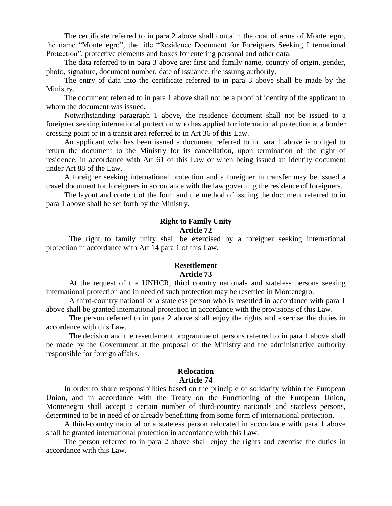The certificate referred to in para 2 above shall contain: the coat of arms of Montenegro, the name "Montenegro", the title "Residence Document for Foreigners Seeking International Protection", protective elements and boxes for entering personal and other data.

The data referred to in para 3 above are: first and family name, country of origin, gender, photo, signature, document number, date of issuance, the issuing authority.

The entry of data into the certificate referred to in para 3 above shall be made by the Ministry.

The document referred to in para 1 above shall not be a proof of identity of the applicant to whom the document was issued.

Notwithstanding paragraph 1 above, the residence document shall not be issued to a foreigner seeking international protection who has applied for international protection at a border crossing point or in a transit area referred to in Art 36 of this Law.

An applicant who has been issued a document referred to in para 1 above is obliged to return the document to the Ministry for its cancellation, upon termination of the right of residence, in accordance with Art 61 of this Law or when being issued an identity document under Art 88 of the Law.

A foreigner seeking international protection and a foreigner in transfer may be issued a travel document for foreigners in accordance with the law governing the residence of foreigners.

The layout and content of the form and the method of issuing the document referred to in para 1 above shall be set forth by the Ministry.

### **Right to Family Unity Article 72**

The right to family unity shall be exercised by a foreigner seeking international protection in accordance with Art 14 para 1 of this Law.

#### **Resettlement Article 73**

At the request of the UNHCR, third country nationals and stateless persons seeking international protection and in need of such protection may be resettled in Montenegro.

A third-country national or a stateless person who is resettled in accordance with para 1 above shall be granted international protection in accordance with the provisions of this Law.

The person referred to in para 2 above shall enjoy the rights and exercise the duties in accordance with this Law.

The decision and the resettlement programme of persons referred to in para 1 above shall be made by the Government at the proposal of the Ministry and the administrative authority responsible for foreign affairs.

#### **Relocation Article 74**

In order to share responsibilities based on the principle of solidarity within the European Union, and in accordance with the Treaty on the Functioning of the European Union, Montenegro shall accept a certain number of third-country nationals and stateless persons, determined to be in need of or already benefitting from some form of international protection.

A third-country national or a stateless person relocated in accordance with para 1 above shall be granted international protection in accordance with this Law.

The person referred to in para 2 above shall enjoy the rights and exercise the duties in accordance with this Law.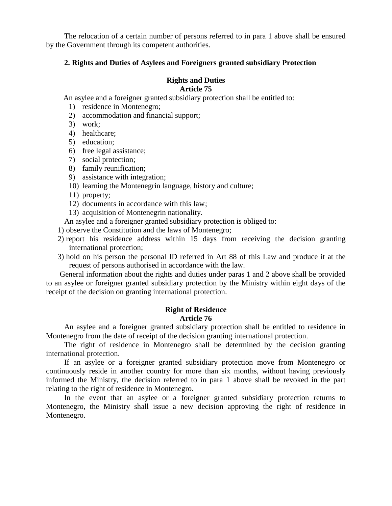The relocation of a certain number of persons referred to in para 1 above shall be ensured by the Government through its competent authorities.

### **2. Rights and Duties of Asylees and Foreigners granted subsidiary Protection**

## **Rights and Duties**

## **Article 75**

An asylee and a foreigner granted subsidiary protection shall be entitled to:

- 1) residence in Montenegro;
- 2) accommodation and financial support;
- 3) work;
- 4) healthcare;
- 5) education;
- 6) free legal assistance;
- 7) social protection;
- 8) family reunification;
- 9) assistance with integration;
- 10) learning the Montenegrin language, history and culture;
- 11) property;
- 12) documents in accordance with this law;
- 13) acquisition of Montenegrin nationality.

An asylee and a foreigner granted subsidiary protection is obliged to:

1) observe the Constitution and the laws of Montenegro;

- 2) report his residence address within 15 days from receiving the decision granting international protection;
- 3) hold on his person the personal ID referred in Art 88 of this Law and produce it at the request of persons authorised in accordance with the law.

General information about the rights and duties under paras 1 and 2 above shall be provided to an asylee or foreigner granted subsidiary protection by the Ministry within eight days of the receipt of the decision on granting international protection.

## **Right of Residence Article 76**

An asylee and a foreigner granted subsidiary protection shall be entitled to residence in Montenegro from the date of receipt of the decision granting international protection.

The right of residence in Montenegro shall be determined by the decision granting international protection.

If an asylee or a foreigner granted subsidiary protection move from Montenegro or continuously reside in another country for more than six months, without having previously informed the Ministry, the decision referred to in para 1 above shall be revoked in the part relating to the right of residence in Montenegro.

In the event that an asylee or a foreigner granted subsidiary protection returns to Montenegro, the Ministry shall issue a new decision approving the right of residence in Montenegro.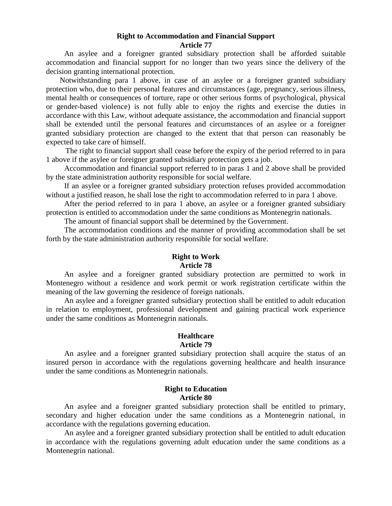#### **Right to Accommodation and Financial Support Article 77**

An asylee and a foreigner granted subsidiary protection shall be afforded suitable accommodation and financial support for no longer than two years since the delivery of the decision granting international protection.

Notwithstanding para 1 above, in case of an asylee or a foreigner granted subsidiary protection who, due to their personal features and circumstances (age, pregnancy, serious illness, mental health or consequences of torture, rape or other serious forms of psychological, physical or gender-based violence) is not fully able to enjoy the rights and exercise the duties in accordance with this Law, without adequate assistance, the accommodation and financial support shall be extended until the personal features and circumstances of an asylee or a foreigner granted subsidiary protection are changed to the extent that that person can reasonably be expected to take care of himself.

 The right to financial support shall cease before the expiry of the period referred to in para 1 above if the asylee or foreigner granted subsidiary protection gets a job.

Accommodation and financial support referred to in paras 1 and 2 above shall be provided by the state administration authority responsible for social welfare.

If an asylee or a foreigner granted subsidiary protection refuses provided accommodation without a justified reason, he shall lose the right to accommodation referred to in para 1 above.

After the period referred to in para 1 above, an asylee or a foreigner granted subsidiary protection is entitled to accommodation under the same conditions as Montenegrin nationals.

The amount of financial support shall be determined by the Government.

The accommodation conditions and the manner of providing accommodation shall be set forth by the state administration authority responsible for social welfare.

## **Right to Work Article 78**

An asylee and a foreigner granted subsidiary protection are permitted to work in Montenegro without a residence and work permit or work registration certificate within the meaning of the law governing the residence of foreign nationals.

An asylee and a foreigner granted subsidiary protection shall be entitled to adult education in relation to employment, professional development and gaining practical work experience under the same conditions as Montenegrin nationals.

#### **Healthcare Article 79**

An asylee and a foreigner granted subsidiary protection shall acquire the status of an insured person in accordance with the regulations governing healthcare and health insurance under the same conditions as Montenegrin nationals.

### **Right to Education Article 80**

An asylee and a foreigner granted subsidiary protection shall be entitled to primary, secondary and higher education under the same conditions as a Montenegrin national, in accordance with the regulations governing education.

An asylee and a foreigner granted subsidiary protection shall be entitled to adult education in accordance with the regulations governing adult education under the same conditions as a Montenegrin national.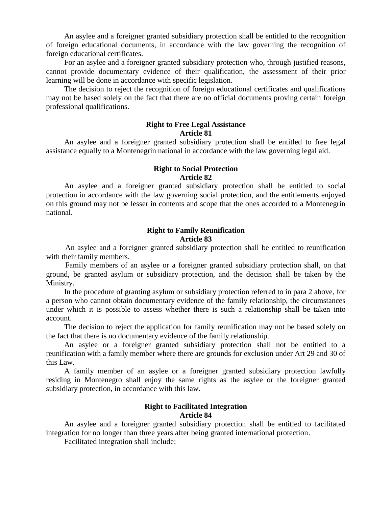An asylee and a foreigner granted subsidiary protection shall be entitled to the recognition of foreign educational documents, in accordance with the law governing the recognition of foreign educational certificates.

For an asylee and a foreigner granted subsidiary protection who, through justified reasons, cannot provide documentary evidence of their qualification, the assessment of their prior learning will be done in accordance with specific legislation.

The decision to reject the recognition of foreign educational certificates and qualifications may not be based solely on the fact that there are no official documents proving certain foreign professional qualifications.

## **Right to Free Legal Assistance Article 81**

An asylee and a foreigner granted subsidiary protection shall be entitled to free legal assistance equally to a Montenegrin national in accordance with the law governing legal aid.

#### **Right to Social Protection Article 82**

An asylee and a foreigner granted subsidiary protection shall be entitled to social protection in accordance with the law governing social protection, and the entitlements enjoyed on this ground may not be lesser in contents and scope that the ones accorded to a Montenegrin national.

## **Right to Family Reunification Article 83**

 An asylee and a foreigner granted subsidiary protection shall be entitled to reunification with their family members.

 Family members of an asylee or a foreigner granted subsidiary protection shall, on that ground, be granted asylum or subsidiary protection, and the decision shall be taken by the Ministry.

In the procedure of granting asylum or subsidiary protection referred to in para 2 above, for a person who cannot obtain documentary evidence of the family relationship, the circumstances under which it is possible to assess whether there is such a relationship shall be taken into account.

The decision to reject the application for family reunification may not be based solely on the fact that there is no documentary evidence of the family relationship.

An asylee or a foreigner granted subsidiary protection shall not be entitled to a reunification with a family member where there are grounds for exclusion under Art 29 and 30 of this Law.

A family member of an asylee or a foreigner granted subsidiary protection lawfully residing in Montenegro shall enjoy the same rights as the asylee or the foreigner granted subsidiary protection, in accordance with this law.

## **Right to Facilitated Integration Article 84**

An asylee and a foreigner granted subsidiary protection shall be entitled to facilitated integration for no longer than three years after being granted international protection.

Facilitated integration shall include: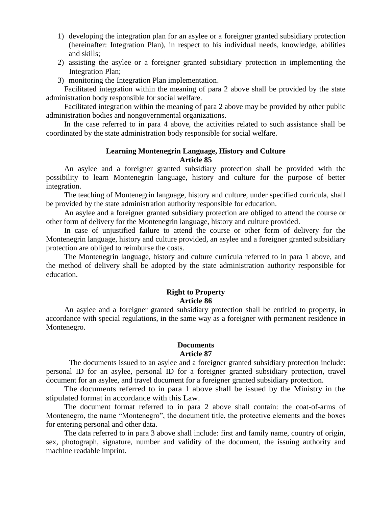- 1) developing the integration plan for an asylee or a foreigner granted subsidiary protection (hereinafter: Integration Plan), in respect to his individual needs, knowledge, abilities and skills;
- 2) assisting the asylee or a foreigner granted subsidiary protection in implementing the Integration Plan;
- 3) monitoring the Integration Plan implementation.

 Facilitated integration within the meaning of para 2 above shall be provided by the state administration body responsible for social welfare.

Facilitated integration within the meaning of para 2 above may be provided by other public administration bodies and nongovernmental organizations.

In the case referred to in para 4 above, the activities related to such assistance shall be coordinated by the state administration body responsible for social welfare.

## **Learning Montenegrin Language, History and Culture Article 85**

An asylee and a foreigner granted subsidiary protection shall be provided with the possibility to learn Montenegrin language, history and culture for the purpose of better integration.

The teaching of Montenegrin language, history and culture, under specified curricula, shall be provided by the state administration authority responsible for education.

An asylee and a foreigner granted subsidiary protection are obliged to attend the course or other form of delivery for the Montenegrin language, history and culture provided.

In case of unjustified failure to attend the course or other form of delivery for the Montenegrin language, history and culture provided, an asylee and a foreigner granted subsidiary protection are obliged to reimburse the costs.

The Montenegrin language, history and culture curricula referred to in para 1 above, and the method of delivery shall be adopted by the state administration authority responsible for education.

## **Right to Property Article 86**

An asylee and a foreigner granted subsidiary protection shall be entitled to property, in accordance with special regulations, in the same way as a foreigner with permanent residence in Montenegro.

#### **Documents Article 87**

The documents issued to an asylee and a foreigner granted subsidiary protection include: personal ID for an asylee, personal ID for a foreigner granted subsidiary protection, travel document for an asylee, and travel document for a foreigner granted subsidiary protection.

The documents referred to in para 1 above shall be issued by the Ministry in the stipulated format in accordance with this Law.

The document format referred to in para 2 above shall contain: the coat-of-arms of Montenegro, the name "Montenegro", the document title, the protective elements and the boxes for entering personal and other data.

The data referred to in para 3 above shall include: first and family name, country of origin, sex, photograph, signature, number and validity of the document, the issuing authority and machine readable imprint.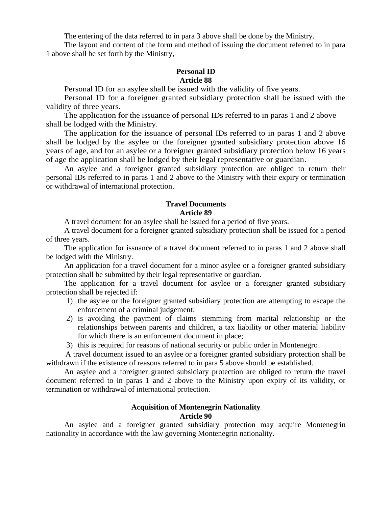The entering of the data referred to in para 3 above shall be done by the Ministry.

The layout and content of the form and method of issuing the document referred to in para 1 above shall be set forth by the Ministry,

### **Personal ID Article 88**

Personal ID for an asylee shall be issued with the validity of five years.

 Personal ID for a foreigner granted subsidiary protection shall be issued with the validity of three years.

The application for the issuance of personal IDs referred to in paras 1 and 2 above shall be lodged with the Ministry.

The application for the issuance of personal IDs referred to in paras 1 and 2 above shall be lodged by the asylee or the foreigner granted subsidiary protection above 16 years of age, and for an asylee or a foreigner granted subsidiary protection below 16 years of age the application shall be lodged by their legal representative or guardian.

An asylee and a foreigner granted subsidiary protection are obliged to return their personal IDs referred to in paras 1 and 2 above to the Ministry with their expiry or termination or withdrawal of international protection.

## **Travel Documents Article 89**

A travel document for an asylee shall be issued for a period of five years.

A travel document for a foreigner granted subsidiary protection shall be issued for a period of three years.

The application for issuance of a travel document referred to in paras 1 and 2 above shall be lodged with the Ministry.

An application for a travel document for a minor asylee or a foreigner granted subsidiary protection shall be submitted by their legal representative or guardian.

The application for a travel document for asylee or a foreigner granted subsidiary protection shall be rejected if:

- 1) the asylee or the foreigner granted subsidiary protection are attempting to escape the enforcement of a criminal judgement;
- 2) is avoiding the payment of claims stemming from marital relationship or the relationships between parents and children, a tax liability or other material liability for which there is an enforcement document in place;
- 3) this is required for reasons of national security or public order in Montenegro.

 A travel document issued to an asylee or a foreigner granted subsidiary protection shall be withdrawn if the existence of reasons referred to in para 5 above should be established.

An asylee and a foreigner granted subsidiary protection are obliged to return the travel document referred to in paras 1 and 2 above to the Ministry upon expiry of its validity, or termination or withdrawal of international protection.

### **Acquisition of Montenegrin Nationality Article 90**

An asylee and a foreigner granted subsidiary protection may acquire Montenegrin nationality in accordance with the law governing Montenegrin nationality.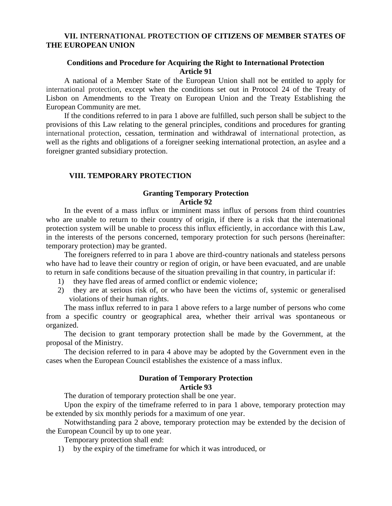## **VII. INTERNATIONAL PROTECTION OF CITIZENS OF MEMBER STATES OF THE EUROPEAN UNION**

## **Conditions and Procedure for Acquiring the Right to International Protection Article 91**

A national of a Member State of the European Union shall not be entitled to apply for international protection, except when the conditions set out in Protocol 24 of the Treaty of Lisbon on Amendments to the Treaty on European Union and the Treaty Establishing the European Community are met.

If the conditions referred to in para 1 above are fulfilled, such person shall be subject to the provisions of this Law relating to the general principles, conditions and procedures for granting international protection, cessation, termination and withdrawal of international protection, as well as the rights and obligations of a foreigner seeking international protection, an asylee and a foreigner granted subsidiary protection.

## **VIII. TEMPORARY PROTECTION**

### **Granting Temporary Protection Article 92**

In the event of a mass influx or imminent mass influx of persons from third countries who are unable to return to their country of origin, if there is a risk that the international protection system will be unable to process this influx efficiently, in accordance with this Law, in the interests of the persons concerned, temporary protection for such persons (hereinafter: temporary protection) may be granted.

The foreigners referred to in para 1 above are third-country nationals and stateless persons who have had to leave their country or region of origin, or have been evacuated, and are unable to return in safe conditions because of the situation prevailing in that country, in particular if:

- 1) they have fled areas of armed conflict or endemic violence;
- 2) they are at serious risk of, or who have been the victims of, systemic or generalised violations of their human rights.

The mass influx referred to in para 1 above refers to a large number of persons who come from a specific country or geographical area, whether their arrival was spontaneous or organized.

The decision to grant temporary protection shall be made by the Government, at the proposal of the Ministry.

The decision referred to in para 4 above may be adopted by the Government even in the cases when the European Council establishes the existence of a mass influx.

### **Duration of Temporary Protection Article 93**

The duration of temporary protection shall be one year.

Upon the expiry of the timeframe referred to in para 1 above, temporary protection may be extended by six monthly periods for a maximum of one year.

Notwithstanding para 2 above, temporary protection may be extended by the decision of the European Council by up to one year.

Temporary protection shall end:

1) by the expiry of the timeframe for which it was introduced, or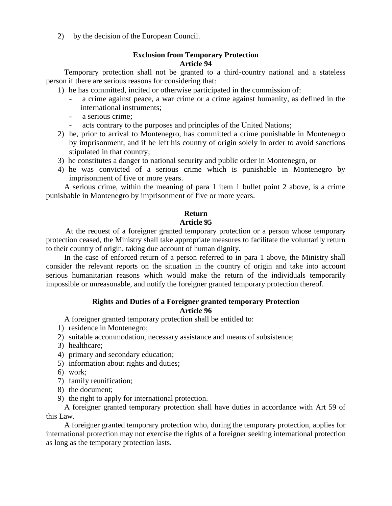2) by the decision of the European Council.

## **Exclusion from Temporary Protection Article 94**

Temporary protection shall not be granted to a third-country national and a stateless person if there are serious reasons for considering that:

- 1) he has committed, incited or otherwise participated in the commission of:
	- a crime against peace, a war crime or a crime against humanity, as defined in the international instruments;
	- a serious crime;
	- acts contrary to the purposes and principles of the United Nations;
- 2) he, prior to arrival to Montenegro, has committed a crime punishable in Montenegro by imprisonment, and if he left his country of origin solely in order to avoid sanctions stipulated in that country;
- 3) he constitutes a danger to national security and public order in Montenegro, or
- 4) he was convicted of a serious crime which is punishable in Montenegro by imprisonment of five or more years.

A serious crime, within the meaning of para 1 item 1 bullet point 2 above, is a crime punishable in Montenegro by imprisonment of five or more years.

## **Return**

## **Article 95**

 At the request of a foreigner granted temporary protection or a person whose temporary protection ceased, the Ministry shall take appropriate measures to facilitate the voluntarily return to their country of origin, taking due account of human dignity.

In the case of enforced return of a person referred to in para 1 above, the Ministry shall consider the relevant reports on the situation in the country of origin and take into account serious humanitarian reasons which would make the return of the individuals temporarily impossible or unreasonable, and notify the foreigner granted temporary protection thereof.

## **Rights and Duties of a Foreigner granted temporary Protection Article 96**

A foreigner granted temporary protection shall be entitled to:

- 1) residence in Montenegro;
- 2) suitable accommodation, necessary assistance and means of subsistence;
- 3) healthcare;
- 4) primary and secondary education;
- 5) information about rights and duties;
- 6) work;
- 7) family reunification;
- 8) the document;
- 9) the right to apply for international protection.

A foreigner granted temporary protection shall have duties in accordance with Art 59 of this Law.

A foreigner granted temporary protection who, during the temporary protection, applies for international protection may not exercise the rights of a foreigner seeking international protection as long as the temporary protection lasts.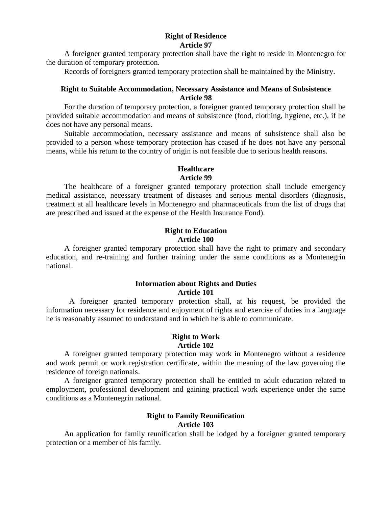### **Right of Residence Article 97**

A foreigner granted temporary protection shall have the right to reside in Montenegro for the duration of temporary protection.

Records of foreigners granted temporary protection shall be maintained by the Ministry.

## **Right to Suitable Accommodation, Necessary Assistance and Means of Subsistence Article 98**

For the duration of temporary protection, a foreigner granted temporary protection shall be provided suitable accommodation and means of subsistence (food, clothing, hygiene, etc.), if he does not have any personal means.

Suitable accommodation, necessary assistance and means of subsistence shall also be provided to a person whose temporary protection has ceased if he does not have any personal means, while his return to the country of origin is not feasible due to serious health reasons.

## **Healthcare Article 99**

The healthcare of a foreigner granted temporary protection shall include emergency medical assistance, necessary treatment of diseases and serious mental disorders (diagnosis, treatment at all healthcare levels in Montenegro and pharmaceuticals from the list of drugs that are prescribed and issued at the expense of the Health Insurance Fond).

### **Right to Education Article 100**

A foreigner granted temporary protection shall have the right to primary and secondary education, and re-training and further training under the same conditions as a Montenegrin national.

### **Information about Rights and Duties Article 101**

A foreigner granted temporary protection shall, at his request, be provided the information necessary for residence and enjoyment of rights and exercise of duties in a language he is reasonably assumed to understand and in which he is able to communicate.

#### **Right to Work Article 102**

A foreigner granted temporary protection may work in Montenegro without a residence and work permit or work registration certificate, within the meaning of the law governing the residence of foreign nationals.

A foreigner granted temporary protection shall be entitled to adult education related to employment, professional development and gaining practical work experience under the same conditions as a Montenegrin national.

## **Right to Family Reunification Article 103**

An application for family reunification shall be lodged by a foreigner granted temporary protection or a member of his family.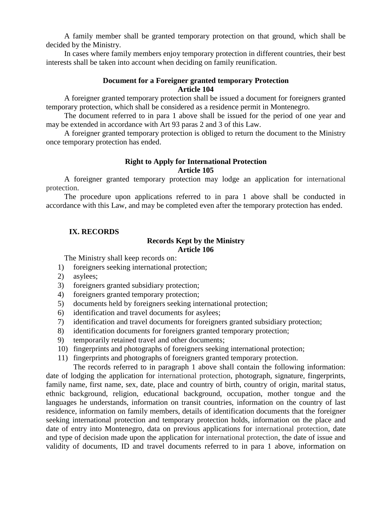A family member shall be granted temporary protection on that ground, which shall be decided by the Ministry.

In cases where family members enjoy temporary protection in different countries, their best interests shall be taken into account when deciding on family reunification.

## **Document for a Foreigner granted temporary Protection Article 104**

A foreigner granted temporary protection shall be issued a document for foreigners granted temporary protection, which shall be considered as a residence permit in Montenegro.

The document referred to in para 1 above shall be issued for the period of one year and may be extended in accordance with Art 93 paras 2 and 3 of this Law.

A foreigner granted temporary protection is obliged to return the document to the Ministry once temporary protection has ended.

## **Right to Apply for International Protection Article 105**

A foreigner granted temporary protection may lodge an application for international protection.

The procedure upon applications referred to in para 1 above shall be conducted in accordance with this Law, and may be completed even after the temporary protection has ended.

## **IX. RECORDS**

## **Records Kept by the Ministry Article 106**

The Ministry shall keep records on:

- 1) foreigners seeking international protection;
- 2) asylees;
- 3) foreigners granted subsidiary protection;
- 4) foreigners granted temporary protection;
- 5) documents held by foreigners seeking international protection;
- 6) identification and travel documents for asylees;
- 7) identification and travel documents for foreigners granted subsidiary protection;
- 8) identification documents for foreigners granted temporary protection;
- 9) temporarily retained travel and other documents;
- 10) fingerprints and photographs of foreigners seeking international protection;
- 11) fingerprints and photographs of foreigners granted temporary protection.

The records referred to in paragraph 1 above shall contain the following information: date of lodging the application for international protection, photograph, signature, fingerprints, family name, first name, sex, date, place and country of birth, country of origin, marital status, ethnic background, religion, educational background, occupation, mother tongue and the languages he understands, information on transit countries, information on the country of last residence, information on family members, details of identification documents that the foreigner seeking international protection and temporary protection holds, information on the place and date of entry into Montenegro, data on previous applications for international protection, date and type of decision made upon the application for international protection, the date of issue and validity of documents, ID and travel documents referred to in para 1 above, information on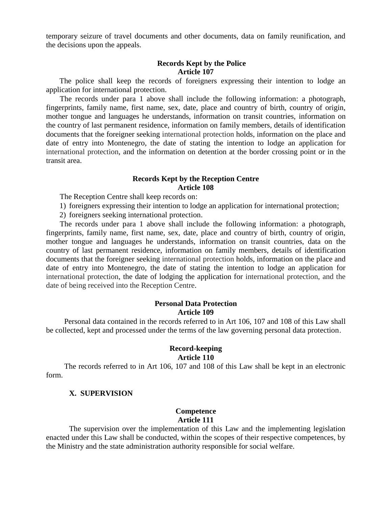temporary seizure of travel documents and other documents, data on family reunification, and the decisions upon the appeals.

### **Records Kept by the Police Article 107**

 The police shall keep the records of foreigners expressing their intention to lodge an application for international protection.

The records under para 1 above shall include the following information: a photograph, fingerprints, family name, first name, sex, date, place and country of birth, country of origin, mother tongue and languages he understands, information on transit countries, information on the country of last permanent residence, information on family members, details of identification documents that the foreigner seeking international protection holds, information on the place and date of entry into Montenegro, the date of stating the intention to lodge an application for international protection, and the information on detention at the border crossing point or in the transit area.

## **Records Kept by the Reception Centre Article 108**

The Reception Centre shall keep records on:

1) foreigners expressing their intention to lodge an application for international protection;

2) foreigners seeking international protection.

The records under para 1 above shall include the following information: a photograph, fingerprints, family name, first name, sex, date, place and country of birth, country of origin, mother tongue and languages he understands, information on transit countries, data on the country of last permanent residence, information on family members, details of identification documents that the foreigner seeking international protection holds, information on the place and date of entry into Montenegro, the date of stating the intention to lodge an application for international protection, the date of lodging the application for international protection, and the date of being received into the Reception Centre.

#### **Personal Data Protection Article 109**

Personal data contained in the records referred to in Art 106, 107 and 108 of this Law shall be collected, kept and processed under the terms of the law governing personal data protection.

#### **Record-keeping Article 110**

The records referred to in Art 106, 107 and 108 of this Law shall be kept in an electronic form.

#### **X. SUPERVISION**

# **Competence**

**Article 111**

The supervision over the implementation of this Law and the implementing legislation enacted under this Law shall be conducted, within the scopes of their respective competences, by the Ministry and the state administration authority responsible for social welfare.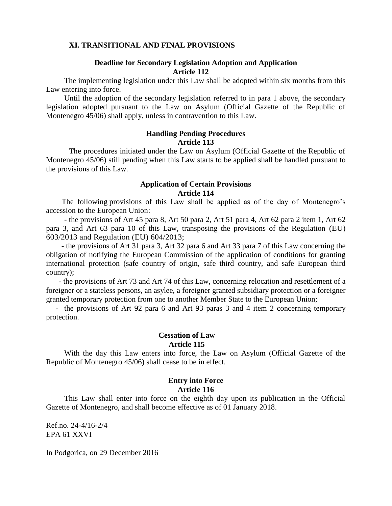#### **XI. TRANSITIONAL AND FINAL PROVISIONS**

## **Deadline for Secondary Legislation Adoption and Application Article 112**

The implementing legislation under this Law shall be adopted within six months from this Law entering into force.

Until the adoption of the secondary legislation referred to in para 1 above, the secondary legislation adopted pursuant to the Law on Asylum (Official Gazette of the Republic of Montenegro 45/06) shall apply, unless in contravention to this Law.

## **Handling Pending Procedures Article 113**

The procedures initiated under the Law on Asylum (Official Gazette of the Republic of Montenegro 45/06) still pending when this Law starts to be applied shall be handled pursuant to the provisions of this Law.

## **Application of Certain Provisions Article 114**

 The following provisions of this Law shall be applied as of the day of Montenegro's accession to the European Union:

- the provisions of Art 45 para 8, Art 50 para 2, Art 51 para 4, Art 62 para 2 item 1, Art 62 para 3, and Art 63 para 10 of this Law, transposing the provisions of the Regulation (EU) 603/2013 and Regulation (EU) 604/2013;

 - the provisions of Art 31 para 3, Art 32 para 6 and Art 33 para 7 of this Law concerning the obligation of notifying the European Commission of the application of conditions for granting international protection (safe country of origin, safe third country, and safe European third country);

- the provisions of Art 73 and Art 74 of this Law, concerning relocation and resettlement of a foreigner or a stateless persons, an asylee, a foreigner granted subsidiary protection or a foreigner granted temporary protection from one to another Member State to the European Union;

 - the provisions of Art 92 para 6 and Art 93 paras 3 and 4 item 2 concerning temporary protection.

### **Cessation of Law**

#### **Article 115**

With the day this Law enters into force, the Law on Asylum (Official Gazette of the Republic of Montenegro 45/06) shall cease to be in effect.

## **Entry into Force Article 116**

This Law shall enter into force on the eighth day upon its publication in the Official Gazette of Montenegro, and shall become effective as of 01 January 2018.

Ref.no. 24-4/16-2/4 EPA 61 XXVI

In Podgorica, on 29 December 2016